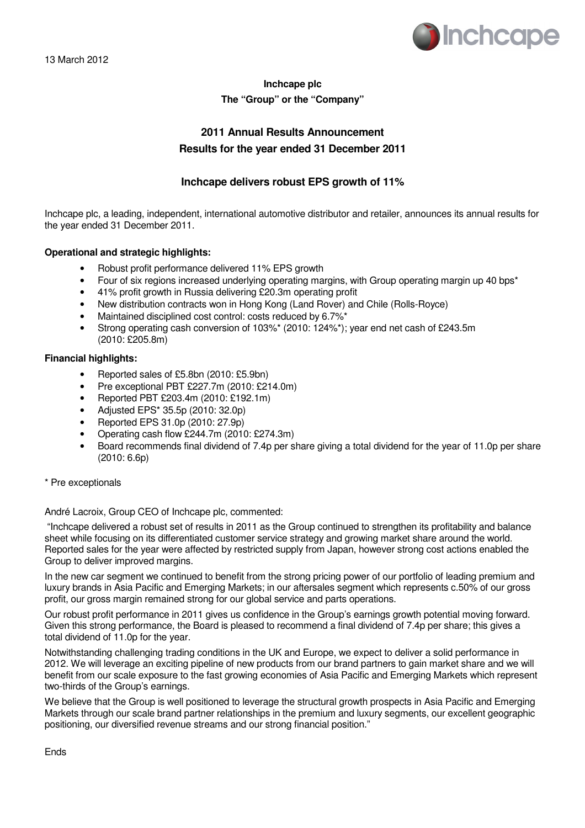

## **Inchcape plc The "Group" or the "Company"**

## **2011 Annual Results Announcement Results for the year ended 31 December 2011**

## **Inchcape delivers robust EPS growth of 11%**

Inchcape plc, a leading, independent, international automotive distributor and retailer, announces its annual results for the year ended 31 December 2011.

## **Operational and strategic highlights:**

- Robust profit performance delivered 11% EPS growth
- Four of six regions increased underlying operating margins, with Group operating margin up 40 bps\*
- 41% profit growth in Russia delivering £20.3m operating profit
- New distribution contracts won in Hong Kong (Land Rover) and Chile (Rolls-Royce)
- Maintained disciplined cost control: costs reduced by 6.7%\*
- Strong operating cash conversion of 103%\* (2010: 124%\*); year end net cash of £243.5m (2010: £205.8m)

## **Financial highlights:**

- Reported sales of £5.8bn (2010: £5.9bn)
- Pre exceptional PBT £227.7m (2010: £214.0m)
- Reported PBT £203.4m (2010: £192.1m)
- Adjusted EPS\* 35.5p (2010: 32.0p)
- Reported EPS 31.0p (2010: 27.9p)
- Operating cash flow £244.7m (2010: £274.3m)
- Board recommends final dividend of 7.4p per share giving a total dividend for the year of 11.0p per share (2010: 6.6p)

## \* Pre exceptionals

André Lacroix, Group CEO of Inchcape plc, commented:

 "Inchcape delivered a robust set of results in 2011 as the Group continued to strengthen its profitability and balance sheet while focusing on its differentiated customer service strategy and growing market share around the world. Reported sales for the year were affected by restricted supply from Japan, however strong cost actions enabled the Group to deliver improved margins.

In the new car segment we continued to benefit from the strong pricing power of our portfolio of leading premium and luxury brands in Asia Pacific and Emerging Markets; in our aftersales segment which represents c.50% of our gross profit, our gross margin remained strong for our global service and parts operations.

Our robust profit performance in 2011 gives us confidence in the Group's earnings growth potential moving forward. Given this strong performance, the Board is pleased to recommend a final dividend of 7.4p per share; this gives a total dividend of 11.0p for the year.

Notwithstanding challenging trading conditions in the UK and Europe, we expect to deliver a solid performance in 2012. We will leverage an exciting pipeline of new products from our brand partners to gain market share and we will benefit from our scale exposure to the fast growing economies of Asia Pacific and Emerging Markets which represent two-thirds of the Group's earnings.

We believe that the Group is well positioned to leverage the structural growth prospects in Asia Pacific and Emerging Markets through our scale brand partner relationships in the premium and luxury segments, our excellent geographic positioning, our diversified revenue streams and our strong financial position."

Ends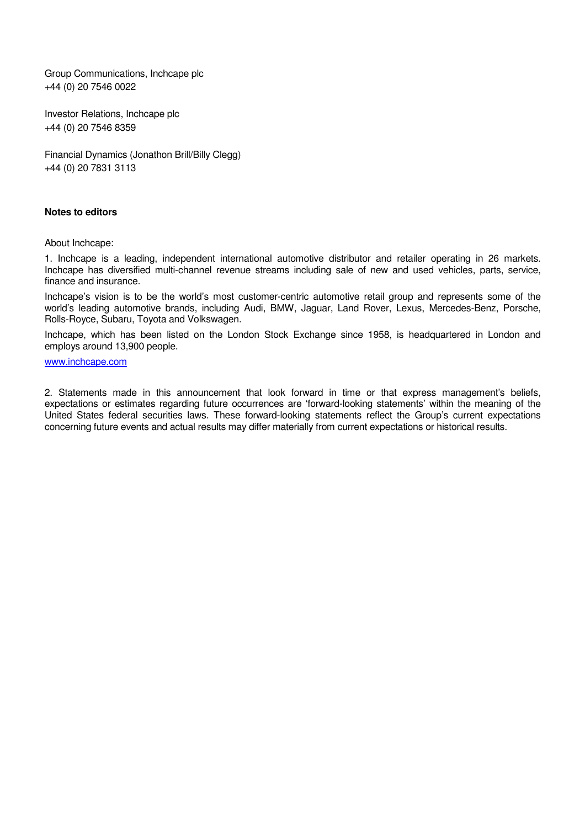Group Communications, Inchcape plc +44 (0) 20 7546 0022

Investor Relations, Inchcape plc +44 (0) 20 7546 8359

Financial Dynamics (Jonathon Brill/Billy Clegg) +44 (0) 20 7831 3113

## **Notes to editors**

About Inchcape:

1. Inchcape is a leading, independent international automotive distributor and retailer operating in 26 markets. Inchcape has diversified multi-channel revenue streams including sale of new and used vehicles, parts, service, finance and insurance.

Inchcape's vision is to be the world's most customer-centric automotive retail group and represents some of the world's leading automotive brands, including Audi, BMW, Jaguar, Land Rover, Lexus, Mercedes-Benz, Porsche, Rolls-Royce, Subaru, Toyota and Volkswagen.

Inchcape, which has been listed on the London Stock Exchange since 1958, is headquartered in London and employs around 13,900 people.

## www.inchcape.com

2. Statements made in this announcement that look forward in time or that express management's beliefs, expectations or estimates regarding future occurrences are 'forward-looking statements' within the meaning of the United States federal securities laws. These forward-looking statements reflect the Group's current expectations concerning future events and actual results may differ materially from current expectations or historical results.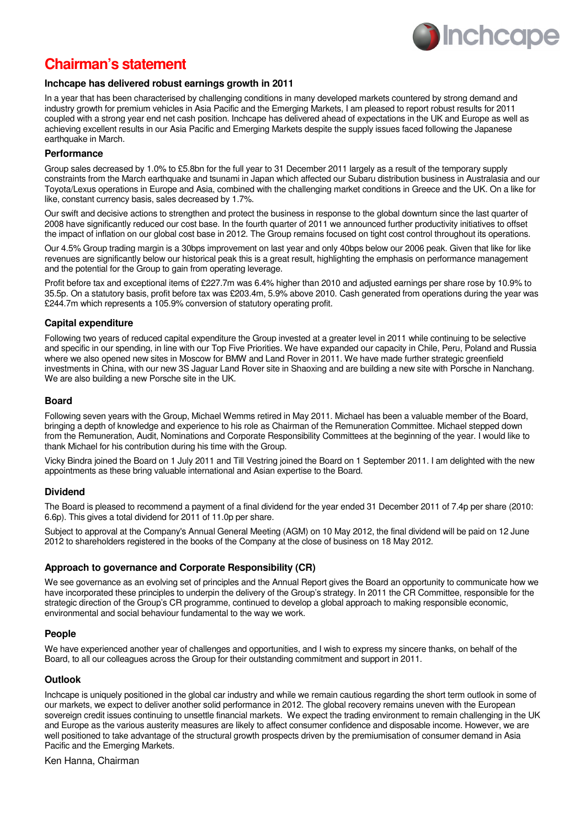

# **Chairman's statement**

## **Inchcape has delivered robust earnings growth in 2011**

In a year that has been characterised by challenging conditions in many developed markets countered by strong demand and industry growth for premium vehicles in Asia Pacific and the Emerging Markets, I am pleased to report robust results for 2011 coupled with a strong year end net cash position. Inchcape has delivered ahead of expectations in the UK and Europe as well as achieving excellent results in our Asia Pacific and Emerging Markets despite the supply issues faced following the Japanese earthquake in March.

## **Performance**

Group sales decreased by 1.0% to £5.8bn for the full year to 31 December 2011 largely as a result of the temporary supply constraints from the March earthquake and tsunami in Japan which affected our Subaru distribution business in Australasia and our Toyota/Lexus operations in Europe and Asia, combined with the challenging market conditions in Greece and the UK. On a like for like, constant currency basis, sales decreased by 1.7%.

Our swift and decisive actions to strengthen and protect the business in response to the global downturn since the last quarter of 2008 have significantly reduced our cost base. In the fourth quarter of 2011 we announced further productivity initiatives to offset the impact of inflation on our global cost base in 2012. The Group remains focused on tight cost control throughout its operations.

Our 4.5% Group trading margin is a 30bps improvement on last year and only 40bps below our 2006 peak. Given that like for like revenues are significantly below our historical peak this is a great result, highlighting the emphasis on performance management and the potential for the Group to gain from operating leverage.

Profit before tax and exceptional items of £227.7m was 6.4% higher than 2010 and adjusted earnings per share rose by 10.9% to 35.5p. On a statutory basis, profit before tax was £203.4m, 5.9% above 2010. Cash generated from operations during the year was £244.7m which represents a 105.9% conversion of statutory operating profit.

## **Capital expenditure**

Following two years of reduced capital expenditure the Group invested at a greater level in 2011 while continuing to be selective and specific in our spending, in line with our Top Five Priorities. We have expanded our capacity in Chile, Peru, Poland and Russia where we also opened new sites in Moscow for BMW and Land Rover in 2011. We have made further strategic greenfield investments in China, with our new 3S Jaguar Land Rover site in Shaoxing and are building a new site with Porsche in Nanchang. We are also building a new Porsche site in the UK.

## **Board**

Following seven years with the Group, Michael Wemms retired in May 2011. Michael has been a valuable member of the Board, bringing a depth of knowledge and experience to his role as Chairman of the Remuneration Committee. Michael stepped down from the Remuneration, Audit, Nominations and Corporate Responsibility Committees at the beginning of the year. I would like to thank Michael for his contribution during his time with the Group.

Vicky Bindra joined the Board on 1 July 2011 and Till Vestring joined the Board on 1 September 2011. I am delighted with the new appointments as these bring valuable international and Asian expertise to the Board.

## **Dividend**

The Board is pleased to recommend a payment of a final dividend for the year ended 31 December 2011 of 7.4p per share (2010: 6.6p). This gives a total dividend for 2011 of 11.0p per share.

Subject to approval at the Company's Annual General Meeting (AGM) on 10 May 2012, the final dividend will be paid on 12 June 2012 to shareholders registered in the books of the Company at the close of business on 18 May 2012.

## **Approach to governance and Corporate Responsibility (CR)**

We see governance as an evolving set of principles and the Annual Report gives the Board an opportunity to communicate how we have incorporated these principles to underpin the delivery of the Group's strategy. In 2011 the CR Committee, responsible for the strategic direction of the Group's CR programme, continued to develop a global approach to making responsible economic, environmental and social behaviour fundamental to the way we work.

## **People**

We have experienced another year of challenges and opportunities, and I wish to express my sincere thanks, on behalf of the Board, to all our colleagues across the Group for their outstanding commitment and support in 2011.

## **Outlook**

Inchcape is uniquely positioned in the global car industry and while we remain cautious regarding the short term outlook in some of our markets, we expect to deliver another solid performance in 2012. The global recovery remains uneven with the European sovereign credit issues continuing to unsettle financial markets. We expect the trading environment to remain challenging in the UK and Europe as the various austerity measures are likely to affect consumer confidence and disposable income. However, we are well positioned to take advantage of the structural growth prospects driven by the premiumisation of consumer demand in Asia Pacific and the Emerging Markets.

Ken Hanna, Chairman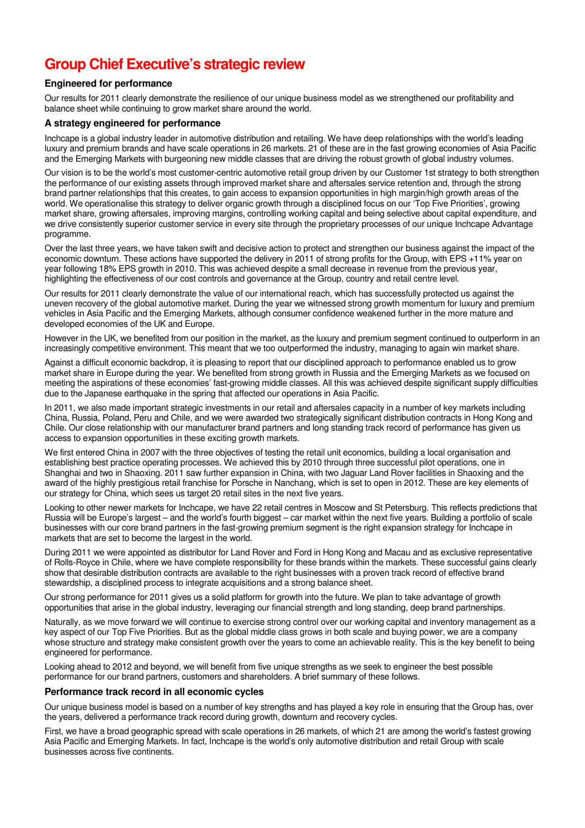# **Group Chief Executive's strategic review**

## **Engineered for performance**

Our results for 2011 clearly demonstrate the resilience of our unique business model as we strengthened our profitability and balance sheet while continuing to grow market share around the world.

## **A strategy engineered for performance**

Inchcape is a global industry leader in automotive distribution and retailing. We have deep relationships with the world's leading luxury and premium brands and have scale operations in 26 markets. 21 of these are in the fast growing economies of Asia Pacific and the Emerging Markets with burgeoning new middle classes that are driving the robust growth of global industry volumes.

Our vision is to be the world's most customer-centric automotive retail group driven by our Customer 1st strategy to both strengthen the performance of our existing assets through improved market share and aftersales service retention and, through the strong brand partner relationships that this creates, to gain access to expansion opportunities in high margin/high growth areas of the world. We operationalise this strategy to deliver organic growth through a disciplined focus on our 'Top Five Priorities', growing market share, growing aftersales, improving margins, controlling working capital and being selective about capital expenditure, and we drive consistently superior customer service in every site through the proprietary processes of our unique Inchcape Advantage programme.

Over the last three years, we have taken swift and decisive action to protect and strengthen our business against the impact of the economic downturn. These actions have supported the delivery in 2011 of strong profits for the Group, with EPS +11% year on year following 18% EPS growth in 2010. This was achieved despite a small decrease in revenue from the previous year, highlighting the effectiveness of our cost controls and governance at the Group, country and retail centre level.

Our results for 2011 clearly demonstrate the value of our international reach, which has successfully protected us against the uneven recovery of the global automotive market. During the year we witnessed strong growth momentum for luxury and premium vehicles in Asia Pacific and the Emerging Markets, although consumer confidence weakened further in the more mature and developed economies of the UK and Europe.

However in the UK, we benefited from our position in the market, as the luxury and premium segment continued to outperform in an increasingly competitive environment. This meant that we too outperformed the industry, managing to again win market share.

Against a difficult economic backdrop, it is pleasing to report that our disciplined approach to performance enabled us to grow market share in Europe during the year. We benefited from strong growth in Russia and the Emerging Markets as we focused on meeting the aspirations of these economies' fast-growing middle classes. All this was achieved despite significant supply difficulties due to the Japanese earthquake in the spring that affected our operations in Asia Pacific.

In 2011, we also made important strategic investments in our retail and aftersales capacity in a number of key markets including China, Russia, Poland, Peru and Chile, and we were awarded two strategically significant distribution contracts in Hong Kong and Chile. Our close relationship with our manufacturer brand partners and long standing track record of performance has given us access to expansion opportunities in these exciting growth markets.

We first entered China in 2007 with the three objectives of testing the retail unit economics, building a local organisation and establishing best practice operating processes. We achieved this by 2010 through three successful pilot operations, one in Shanghai and two in Shaoxing. 2011 saw further expansion in China, with two Jaguar Land Rover facilities in Shaoxing and the award of the highly prestigious retail franchise for Porsche in Nanchang, which is set to open in 2012. These are key elements of our strategy for China, which sees us target 20 retail sites in the next five years.

Looking to other newer markets for Inchcape, we have 22 retail centres in Moscow and St Petersburg. This reflects predictions that Russia will be Europe's largest – and the world's fourth biggest – car market within the next five years. Building a portfolio of scale businesses with our core brand partners in the fast-growing premium segment is the right expansion strategy for Inchcape in markets that are set to become the largest in the world.

During 2011 we were appointed as distributor for Land Rover and Ford in Hong Kong and Macau and as exclusive representative of Rolls-Royce in Chile, where we have complete responsibility for these brands within the markets. These successful gains clearly show that desirable distribution contracts are available to the right businesses with a proven track record of effective brand stewardship, a disciplined process to integrate acquisitions and a strong balance sheet.

Our strong performance for 2011 gives us a solid platform for growth into the future. We plan to take advantage of growth opportunities that arise in the global industry, leveraging our financial strength and long standing, deep brand partnerships.

Naturally, as we move forward we will continue to exercise strong control over our working capital and inventory management as a key aspect of our Top Five Priorities. But as the global middle class grows in both scale and buying power, we are a company whose structure and strategy make consistent growth over the years to come an achievable reality. This is the key benefit to being engineered for performance.

Looking ahead to 2012 and beyond, we will benefit from five unique strengths as we seek to engineer the best possible performance for our brand partners, customers and shareholders. A brief summary of these follows.

## **Performance track record in all economic cycles**

Our unique business model is based on a number of key strengths and has played a key role in ensuring that the Group has, over the years, delivered a performance track record during growth, downturn and recovery cycles.

First, we have a broad geographic spread with scale operations in 26 markets, of which 21 are among the world's fastest growing Asia Pacific and Emerging Markets. In fact, Inchcape is the world's only automotive distribution and retail Group with scale businesses across five continents.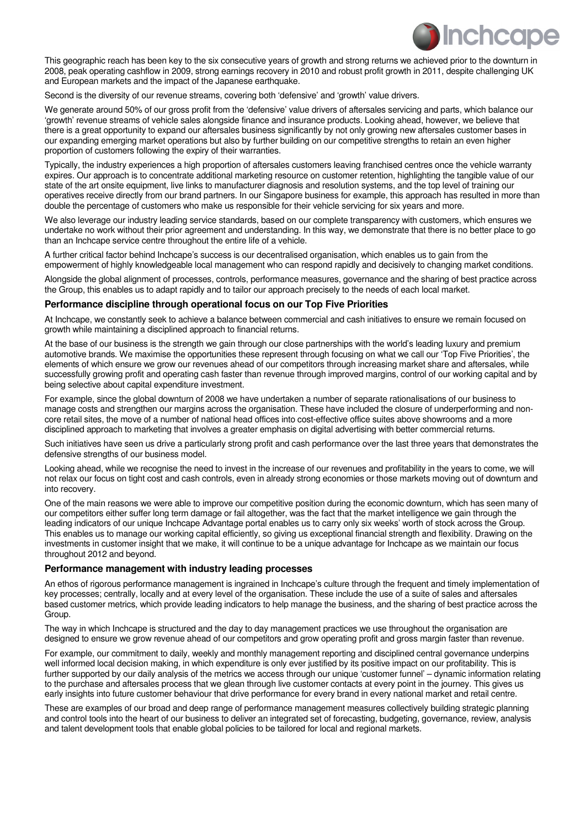

This geographic reach has been key to the six consecutive years of growth and strong returns we achieved prior to the downturn in 2008, peak operating cashflow in 2009, strong earnings recovery in 2010 and robust profit growth in 2011, despite challenging UK and European markets and the impact of the Japanese earthquake.

Second is the diversity of our revenue streams, covering both 'defensive' and 'growth' value drivers.

We generate around 50% of our gross profit from the 'defensive' value drivers of aftersales servicing and parts, which balance our 'growth' revenue streams of vehicle sales alongside finance and insurance products. Looking ahead, however, we believe that there is a great opportunity to expand our aftersales business significantly by not only growing new aftersales customer bases in our expanding emerging market operations but also by further building on our competitive strengths to retain an even higher proportion of customers following the expiry of their warranties.

Typically, the industry experiences a high proportion of aftersales customers leaving franchised centres once the vehicle warranty expires. Our approach is to concentrate additional marketing resource on customer retention, highlighting the tangible value of our state of the art onsite equipment, live links to manufacturer diagnosis and resolution systems, and the top level of training our operatives receive directly from our brand partners. In our Singapore business for example, this approach has resulted in more than double the percentage of customers who make us responsible for their vehicle servicing for six years and more.

We also leverage our industry leading service standards, based on our complete transparency with customers, which ensures we undertake no work without their prior agreement and understanding. In this way, we demonstrate that there is no better place to go than an Inchcape service centre throughout the entire life of a vehicle.

A further critical factor behind Inchcape's success is our decentralised organisation, which enables us to gain from the empowerment of highly knowledgeable local management who can respond rapidly and decisively to changing market conditions.

Alongside the global alignment of processes, controls, performance measures, governance and the sharing of best practice across the Group, this enables us to adapt rapidly and to tailor our approach precisely to the needs of each local market.

## **Performance discipline through operational focus on our Top Five Priorities**

At Inchcape, we constantly seek to achieve a balance between commercial and cash initiatives to ensure we remain focused on growth while maintaining a disciplined approach to financial returns.

At the base of our business is the strength we gain through our close partnerships with the world's leading luxury and premium automotive brands. We maximise the opportunities these represent through focusing on what we call our 'Top Five Priorities', the elements of which ensure we grow our revenues ahead of our competitors through increasing market share and aftersales, while successfully growing profit and operating cash faster than revenue through improved margins, control of our working capital and by being selective about capital expenditure investment.

For example, since the global downturn of 2008 we have undertaken a number of separate rationalisations of our business to manage costs and strengthen our margins across the organisation. These have included the closure of underperforming and noncore retail sites, the move of a number of national head offices into cost-effective office suites above showrooms and a more disciplined approach to marketing that involves a greater emphasis on digital advertising with better commercial returns.

Such initiatives have seen us drive a particularly strong profit and cash performance over the last three years that demonstrates the defensive strengths of our business model.

Looking ahead, while we recognise the need to invest in the increase of our revenues and profitability in the years to come, we will not relax our focus on tight cost and cash controls, even in already strong economies or those markets moving out of downturn and into recovery.

One of the main reasons we were able to improve our competitive position during the economic downturn, which has seen many of our competitors either suffer long term damage or fail altogether, was the fact that the market intelligence we gain through the leading indicators of our unique Inchcape Advantage portal enables us to carry only six weeks' worth of stock across the Group. This enables us to manage our working capital efficiently, so giving us exceptional financial strength and flexibility. Drawing on the investments in customer insight that we make, it will continue to be a unique advantage for Inchcape as we maintain our focus throughout 2012 and beyond.

## **Performance management with industry leading processes**

An ethos of rigorous performance management is ingrained in Inchcape's culture through the frequent and timely implementation of key processes; centrally, locally and at every level of the organisation. These include the use of a suite of sales and aftersales based customer metrics, which provide leading indicators to help manage the business, and the sharing of best practice across the Group.

The way in which Inchcape is structured and the day to day management practices we use throughout the organisation are designed to ensure we grow revenue ahead of our competitors and grow operating profit and gross margin faster than revenue.

For example, our commitment to daily, weekly and monthly management reporting and disciplined central governance underpins well informed local decision making, in which expenditure is only ever justified by its positive impact on our profitability. This is further supported by our daily analysis of the metrics we access through our unique 'customer funnel' – dynamic information relating to the purchase and aftersales process that we glean through live customer contacts at every point in the journey. This gives us early insights into future customer behaviour that drive performance for every brand in every national market and retail centre.

These are examples of our broad and deep range of performance management measures collectively building strategic planning and control tools into the heart of our business to deliver an integrated set of forecasting, budgeting, governance, review, analysis and talent development tools that enable global policies to be tailored for local and regional markets.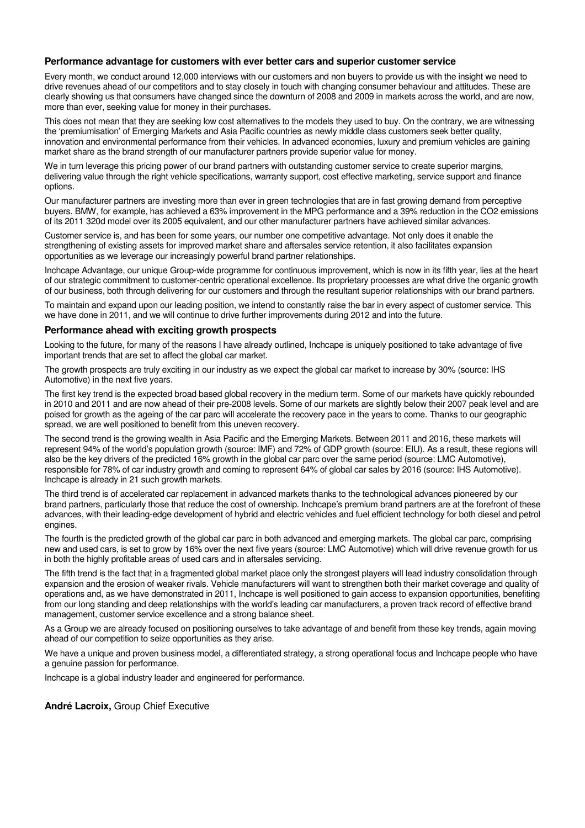## **Performance advantage for customers with ever better cars and superior customer service**

Every month, we conduct around 12,000 interviews with our customers and non buyers to provide us with the insight we need to drive revenues ahead of our competitors and to stay closely in touch with changing consumer behaviour and attitudes. These are clearly showing us that consumers have changed since the downturn of 2008 and 2009 in markets across the world, and are now, more than ever, seeking value for money in their purchases.

This does not mean that they are seeking low cost alternatives to the models they used to buy. On the contrary, we are witnessing the 'premiumisation' of Emerging Markets and Asia Pacific countries as newly middle class customers seek better quality, innovation and environmental performance from their vehicles. In advanced economies, luxury and premium vehicles are gaining market share as the brand strength of our manufacturer partners provide superior value for money.

We in turn leverage this pricing power of our brand partners with outstanding customer service to create superior margins, delivering value through the right vehicle specifications, warranty support, cost effective marketing, service support and finance options.

Our manufacturer partners are investing more than ever in green technologies that are in fast growing demand from perceptive buyers. BMW, for example, has achieved a 63% improvement in the MPG performance and a 39% reduction in the CO2 emissions of its 2011 320d model over its 2005 equivalent, and our other manufacturer partners have achieved similar advances.

Customer service is, and has been for some years, our number one competitive advantage. Not only does it enable the strengthening of existing assets for improved market share and aftersales service retention, it also facilitates expansion opportunities as we leverage our increasingly powerful brand partner relationships.

Inchcape Advantage, our unique Group-wide programme for continuous improvement, which is now in its fifth year, lies at the heart of our strategic commitment to customer-centric operational excellence. Its proprietary processes are what drive the organic growth of our business, both through delivering for our customers and through the resultant superior relationships with our brand partners.

To maintain and expand upon our leading position, we intend to constantly raise the bar in every aspect of customer service. This we have done in 2011, and we will continue to drive further improvements during 2012 and into the future.

## **Performance ahead with exciting growth prospects**

Looking to the future, for many of the reasons I have already outlined, Inchcape is uniquely positioned to take advantage of five important trends that are set to affect the global car market.

The growth prospects are truly exciting in our industry as we expect the global car market to increase by 30% (source: IHS Automotive) in the next five years.

The first key trend is the expected broad based global recovery in the medium term. Some of our markets have quickly rebounded in 2010 and 2011 and are now ahead of their pre-2008 levels. Some of our markets are slightly below their 2007 peak level and are poised for growth as the ageing of the car parc will accelerate the recovery pace in the years to come. Thanks to our geographic spread, we are well positioned to benefit from this uneven recovery.

The second trend is the growing wealth in Asia Pacific and the Emerging Markets. Between 2011 and 2016, these markets will represent 94% of the world's population growth (source: IMF) and 72% of GDP growth (source: EIU). As a result, these regions will also be the key drivers of the predicted 16% growth in the global car parc over the same period (source: LMC Automotive), responsible for 78% of car industry growth and coming to represent 64% of global car sales by 2016 (source: IHS Automotive). Inchcape is already in 21 such growth markets.

The third trend is of accelerated car replacement in advanced markets thanks to the technological advances pioneered by our brand partners, particularly those that reduce the cost of ownership. Inchcape's premium brand partners are at the forefront of these advances, with their leading-edge development of hybrid and electric vehicles and fuel efficient technology for both diesel and petrol engines.

The fourth is the predicted growth of the global car parc in both advanced and emerging markets. The global car parc, comprising new and used cars, is set to grow by 16% over the next five years (source: LMC Automotive) which will drive revenue growth for us in both the highly profitable areas of used cars and in aftersales servicing.

The fifth trend is the fact that in a fragmented global market place only the strongest players will lead industry consolidation through expansion and the erosion of weaker rivals. Vehicle manufacturers will want to strengthen both their market coverage and quality of operations and, as we have demonstrated in 2011, Inchcape is well positioned to gain access to expansion opportunities, benefiting from our long standing and deep relationships with the world's leading car manufacturers, a proven track record of effective brand management, customer service excellence and a strong balance sheet.

As a Group we are already focused on positioning ourselves to take advantage of and benefit from these key trends, again moving ahead of our competition to seize opportunities as they arise.

We have a unique and proven business model, a differentiated strategy, a strong operational focus and Inchcape people who have a genuine passion for performance.

Inchcape is a global industry leader and engineered for performance.

**André Lacroix,** Group Chief Executive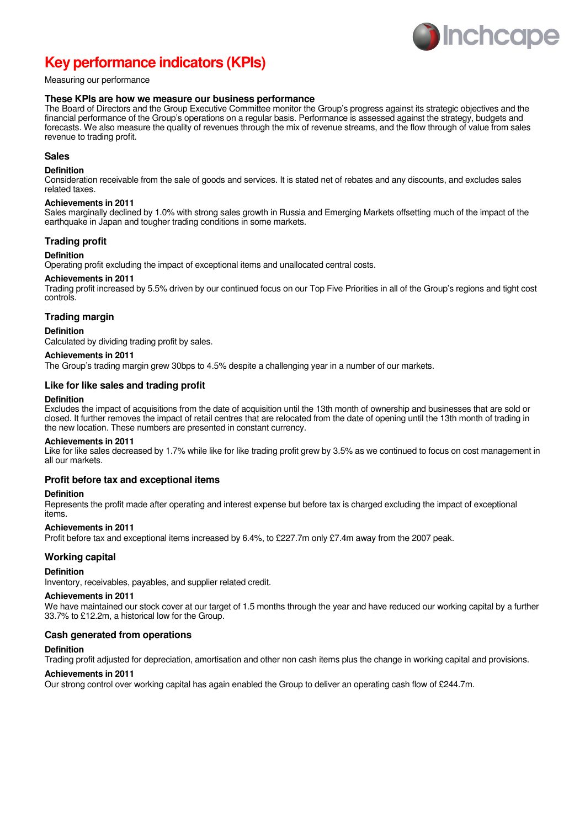

# **Key performance indicators (KPIs)**

## Measuring our performance

#### **These KPIs are how we measure our business performance**

The Board of Directors and the Group Executive Committee monitor the Group's progress against its strategic objectives and the financial performance of the Group's operations on a regular basis. Performance is assessed against the strategy, budgets and forecasts. We also measure the quality of revenues through the mix of revenue streams, and the flow through of value from sales revenue to trading profit.

## **Sales**

#### **Definition**

Consideration receivable from the sale of goods and services. It is stated net of rebates and any discounts, and excludes sales related taxes.

#### **Achievements in 2011**

Sales marginally declined by 1.0% with strong sales growth in Russia and Emerging Markets offsetting much of the impact of the earthquake in Japan and tougher trading conditions in some markets.

#### **Trading profit**

#### **Definition**

Operating profit excluding the impact of exceptional items and unallocated central costs.

#### **Achievements in 2011**

Trading profit increased by 5.5% driven by our continued focus on our Top Five Priorities in all of the Group's regions and tight cost controls.

## **Trading margin**

#### **Definition**

Calculated by dividing trading profit by sales.

#### **Achievements in 2011**

The Group's trading margin grew 30bps to 4.5% despite a challenging year in a number of our markets.

#### **Like for like sales and trading profit**

#### **Definition**

Excludes the impact of acquisitions from the date of acquisition until the 13th month of ownership and businesses that are sold or closed. It further removes the impact of retail centres that are relocated from the date of opening until the 13th month of trading in the new location. These numbers are presented in constant currency.

#### **Achievements in 2011**

Like for like sales decreased by 1.7% while like for like trading profit grew by 3.5% as we continued to focus on cost management in all our markets.

## **Profit before tax and exceptional items**

#### **Definition**

Represents the profit made after operating and interest expense but before tax is charged excluding the impact of exceptional items.

#### **Achievements in 2011**

Profit before tax and exceptional items increased by 6.4%, to £227.7m only £7.4m away from the 2007 peak.

#### **Working capital**

#### **Definition**

Inventory, receivables, payables, and supplier related credit.

## **Achievements in 2011**

We have maintained our stock cover at our target of 1.5 months through the year and have reduced our working capital by a further 33.7% to £12.2m, a historical low for the Group.

#### **Cash generated from operations**

#### **Definition**

Trading profit adjusted for depreciation, amortisation and other non cash items plus the change in working capital and provisions.

#### **Achievements in 2011**

Our strong control over working capital has again enabled the Group to deliver an operating cash flow of £244.7m.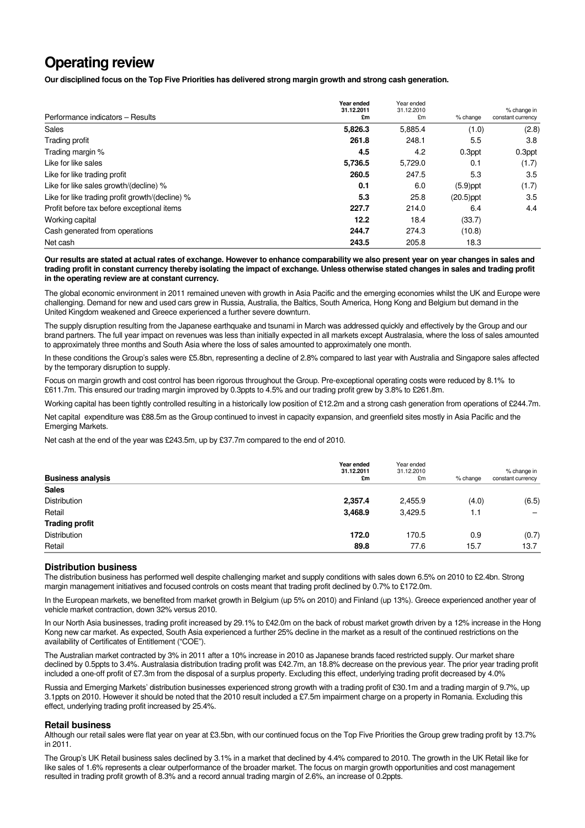## **Operating review**

**Our disciplined focus on the Top Five Priorities has delivered strong margin growth and strong cash generation.** 

|                                                 | Year ended<br>31.12.2011 | Year ended<br>31.12.2010 |              | % change in       |
|-------------------------------------------------|--------------------------|--------------------------|--------------|-------------------|
| Performance indicators - Results                | £m                       | £m                       | % change     | constant currency |
| Sales                                           | 5,826.3                  | 5,885.4                  | (1.0)        | (2.8)             |
| Trading profit                                  | 261.8                    | 248.1                    | 5.5          | 3.8               |
| Trading margin %                                | 4.5                      | 4.2                      | 0.3ppt       | 0.3ppt            |
| Like for like sales                             | 5,736.5                  | 5,729.0                  | 0.1          | (1.7)             |
| Like for like trading profit                    | 260.5                    | 247.5                    | 5.3          | 3.5               |
| Like for like sales growth/(decline) %          | 0.1                      | 6.0                      | $(5.9)$ ppt  | (1.7)             |
| Like for like trading profit growth/(decline) % | 5.3                      | 25.8                     | $(20.5)$ ppt | 3.5               |
| Profit before tax before exceptional items      | 227.7                    | 214.0                    | 6.4          | 4.4               |
| Working capital                                 | 12.2                     | 18.4                     | (33.7)       |                   |
| Cash generated from operations                  | 244.7                    | 274.3                    | (10.8)       |                   |
| Net cash                                        | 243.5                    | 205.8                    | 18.3         |                   |

**Our results are stated at actual rates of exchange. However to enhance comparability we also present year on year changes in sales and trading profit in constant currency thereby isolating the impact of exchange. Unless otherwise stated changes in sales and trading profit in the operating review are at constant currency.** 

The global economic environment in 2011 remained uneven with growth in Asia Pacific and the emerging economies whilst the UK and Europe were challenging. Demand for new and used cars grew in Russia, Australia, the Baltics, South America, Hong Kong and Belgium but demand in the United Kingdom weakened and Greece experienced a further severe downturn.

The supply disruption resulting from the Japanese earthquake and tsunami in March was addressed quickly and effectively by the Group and our brand partners. The full year impact on revenues was less than initially expected in all markets except Australasia, where the loss of sales amounted to approximately three months and South Asia where the loss of sales amounted to approximately one month.

In these conditions the Group's sales were £5.8bn, representing a decline of 2.8% compared to last year with Australia and Singapore sales affected by the temporary disruption to supply.

Focus on margin growth and cost control has been rigorous throughout the Group. Pre-exceptional operating costs were reduced by 8.1% to £611.7m. This ensured our trading margin improved by 0.3ppts to 4.5% and our trading profit grew by 3.8% to £261.8m.

Working capital has been tightly controlled resulting in a historically low position of £12.2m and a strong cash generation from operations of £244.7m.

Net capital expenditure was £88.5m as the Group continued to invest in capacity expansion, and greenfield sites mostly in Asia Pacific and the Emerging Markets.

Net cash at the end of the year was £243.5m, up by £37.7m compared to the end of 2010.

| <b>Business analysis</b> | Year ended<br>31.12.2011<br>£m | Year ended<br>31.12.2010<br>£m | % change | % change in<br>constant currency |
|--------------------------|--------------------------------|--------------------------------|----------|----------------------------------|
| <b>Sales</b>             |                                |                                |          |                                  |
| Distribution             | 2,357.4                        | 2,455.9                        | (4.0)    | (6.5)                            |
| Retail                   | 3,468.9                        | 3,429.5                        | 1.1      | $\overline{\phantom{0}}$         |
| <b>Trading profit</b>    |                                |                                |          |                                  |
| Distribution             | 172.0                          | 170.5                          | 0.9      | (0.7)                            |
| Retail                   | 89.8                           | 77.6                           | 15.7     | 13.7                             |

## **Distribution business**

The distribution business has performed well despite challenging market and supply conditions with sales down 6.5% on 2010 to £2.4bn. Strong margin management initiatives and focused controls on costs meant that trading profit declined by 0.7% to £172.0m.

In the European markets, we benefited from market growth in Belgium (up 5% on 2010) and Finland (up 13%). Greece experienced another year of vehicle market contraction, down 32% versus 2010.

In our North Asia businesses, trading profit increased by 29.1% to £42.0m on the back of robust market growth driven by a 12% increase in the Hong Kong new car market. As expected, South Asia experienced a further 25% decline in the market as a result of the continued restrictions on the availability of Certificates of Entitlement ("COE").

The Australian market contracted by 3% in 2011 after a 10% increase in 2010 as Japanese brands faced restricted supply. Our market share declined by 0.5ppts to 3.4%. Australasia distribution trading profit was £42.7m, an 18.8% decrease on the previous year. The prior year trading profit included a one-off profit of £7.3m from the disposal of a surplus property. Excluding this effect, underlying trading profit decreased by 4.0%

Russia and Emerging Markets' distribution businesses experienced strong growth with a trading profit of £30.1m and a trading margin of 9.7%, up 3.1ppts on 2010. However it should be noted that the 2010 result included a £7.5m impairment charge on a property in Romania. Excluding this effect, underlying trading profit increased by 25.4%.

#### **Retail business**

Although our retail sales were flat year on year at £3.5bn, with our continued focus on the Top Five Priorities the Group grew trading profit by 13.7% in 2011.

The Group's UK Retail business sales declined by 3.1% in a market that declined by 4.4% compared to 2010. The growth in the UK Retail like for like sales of 1.6% represents a clear outperformance of the broader market. The focus on margin growth opportunities and cost management resulted in trading profit growth of 8.3% and a record annual trading margin of 2.6%, an increase of 0.2ppts.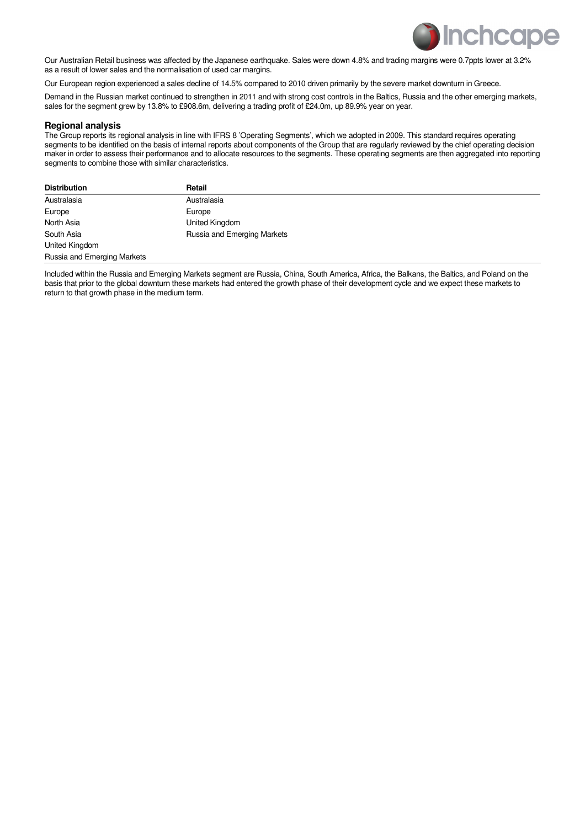

Our Australian Retail business was affected by the Japanese earthquake. Sales were down 4.8% and trading margins were 0.7ppts lower at 3.2% as a result of lower sales and the normalisation of used car margins.

Our European region experienced a sales decline of 14.5% compared to 2010 driven primarily by the severe market downturn in Greece.

Demand in the Russian market continued to strengthen in 2011 and with strong cost controls in the Baltics, Russia and the other emerging markets, sales for the segment grew by 13.8% to £908.6m, delivering a trading profit of £24.0m, up 89.9% year on year.

#### **Regional analysis**

The Group reports its regional analysis in line with IFRS 8 'Operating Segments', which we adopted in 2009. This standard requires operating segments to be identified on the basis of internal reports about components of the Group that are regularly reviewed by the chief operating decision maker in order to assess their performance and to allocate resources to the segments. These operating segments are then aggregated into reporting segments to combine those with similar characteristics.

| <b>Distribution</b>         | Retail                      |
|-----------------------------|-----------------------------|
| Australasia                 | Australasia                 |
| Europe                      | Europe                      |
| North Asia                  | United Kingdom              |
| South Asia                  | Russia and Emerging Markets |
| United Kingdom              |                             |
| Russia and Emerging Markets |                             |

Included within the Russia and Emerging Markets segment are Russia, China, South America, Africa, the Balkans, the Baltics, and Poland on the basis that prior to the global downturn these markets had entered the growth phase of their development cycle and we expect these markets to return to that growth phase in the medium term.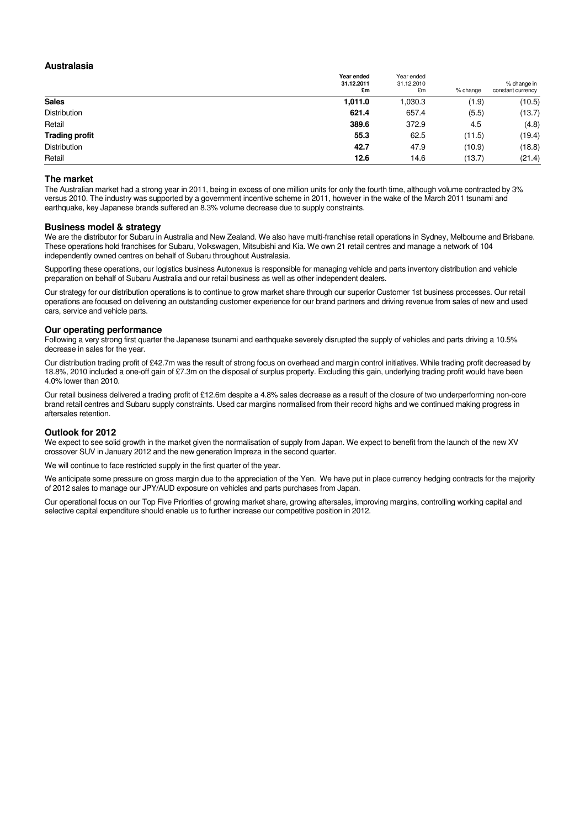#### **Australasia**

|                       | Year ended<br>31.12.2011<br>£m | Year ended<br>31.12.2010<br>£m | % change | % change in<br>constant currency |
|-----------------------|--------------------------------|--------------------------------|----------|----------------------------------|
| <b>Sales</b>          | 1,011.0                        | 1,030.3                        | (1.9)    | (10.5)                           |
| Distribution          | 621.4                          | 657.4                          | (5.5)    | (13.7)                           |
| Retail                | 389.6                          | 372.9                          | 4.5      | (4.8)                            |
| <b>Trading profit</b> | 55.3                           | 62.5                           | (11.5)   | (19.4)                           |
| Distribution          | 42.7                           | 47.9                           | (10.9)   | (18.8)                           |
| Retail                | 12.6                           | 14.6                           | (13.7)   | (21.4)                           |

#### **The market**

The Australian market had a strong year in 2011, being in excess of one million units for only the fourth time, although volume contracted by 3% versus 2010. The industry was supported by a government incentive scheme in 2011, however in the wake of the March 2011 tsunami and earthquake, key Japanese brands suffered an 8.3% volume decrease due to supply constraints.

#### **Business model & strategy**

We are the distributor for Subaru in Australia and New Zealand. We also have multi-franchise retail operations in Sydney, Melbourne and Brisbane. These operations hold franchises for Subaru, Volkswagen, Mitsubishi and Kia. We own 21 retail centres and manage a network of 104 independently owned centres on behalf of Subaru throughout Australasia.

Supporting these operations, our logistics business Autonexus is responsible for managing vehicle and parts inventory distribution and vehicle preparation on behalf of Subaru Australia and our retail business as well as other independent dealers.

Our strategy for our distribution operations is to continue to grow market share through our superior Customer 1st business processes. Our retail operations are focused on delivering an outstanding customer experience for our brand partners and driving revenue from sales of new and used cars, service and vehicle parts.

#### **Our operating performance**

Following a very strong first quarter the Japanese tsunami and earthquake severely disrupted the supply of vehicles and parts driving a 10.5% decrease in sales for the year.

Our distribution trading profit of £42.7m was the result of strong focus on overhead and margin control initiatives. While trading profit decreased by 18.8%, 2010 included a one-off gain of £7.3m on the disposal of surplus property. Excluding this gain, underlying trading profit would have been 4.0% lower than 2010.

Our retail business delivered a trading profit of £12.6m despite a 4.8% sales decrease as a result of the closure of two underperforming non-core brand retail centres and Subaru supply constraints. Used car margins normalised from their record highs and we continued making progress in aftersales retention.

#### **Outlook for 2012**

We expect to see solid growth in the market given the normalisation of supply from Japan. We expect to benefit from the launch of the new XV crossover SUV in January 2012 and the new generation Impreza in the second quarter.

We will continue to face restricted supply in the first quarter of the year.

We anticipate some pressure on gross margin due to the appreciation of the Yen. We have put in place currency hedging contracts for the majority of 2012 sales to manage our JPY/AUD exposure on vehicles and parts purchases from Japan.

Our operational focus on our Top Five Priorities of growing market share, growing aftersales, improving margins, controlling working capital and selective capital expenditure should enable us to further increase our competitive position in 2012.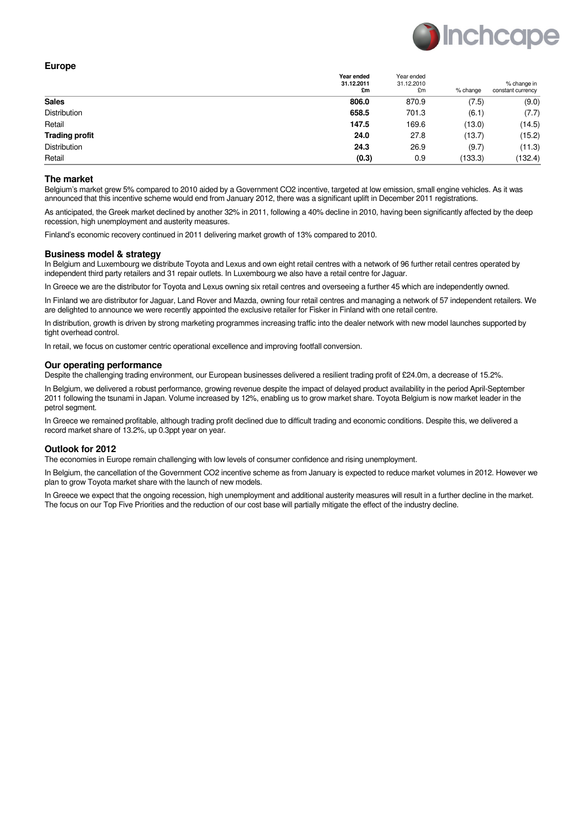

| × |  |
|---|--|
|---|--|

|                       | Year ended<br>31.12.2011<br>£m | Year ended<br>31.12.2010<br>£m | % change | % change in<br>constant currency |
|-----------------------|--------------------------------|--------------------------------|----------|----------------------------------|
| <b>Sales</b>          | 806.0                          | 870.9                          | (7.5)    | (9.0)                            |
| Distribution          | 658.5                          | 701.3                          | (6.1)    | (7.7)                            |
| Retail                | 147.5                          | 169.6                          | (13.0)   | (14.5)                           |
| <b>Trading profit</b> | 24.0                           | 27.8                           | (13.7)   | (15.2)                           |
| Distribution          | 24.3                           | 26.9                           | (9.7)    | (11.3)                           |
| Retail                | (0.3)                          | 0.9                            | (133.3)  | (132.4)                          |

#### **The market**

Belgium's market grew 5% compared to 2010 aided by a Government CO2 incentive, targeted at low emission, small engine vehicles. As it was announced that this incentive scheme would end from January 2012, there was a significant uplift in December 2011 registrations.

As anticipated, the Greek market declined by another 32% in 2011, following a 40% decline in 2010, having been significantly affected by the deep recession, high unemployment and austerity measures.

Finland's economic recovery continued in 2011 delivering market growth of 13% compared to 2010.

#### **Business model & strategy**

In Belgium and Luxembourg we distribute Toyota and Lexus and own eight retail centres with a network of 96 further retail centres operated by independent third party retailers and 31 repair outlets. In Luxembourg we also have a retail centre for Jaguar.

In Greece we are the distributor for Toyota and Lexus owning six retail centres and overseeing a further 45 which are independently owned.

In Finland we are distributor for Jaguar, Land Rover and Mazda, owning four retail centres and managing a network of 57 independent retailers. We are delighted to announce we were recently appointed the exclusive retailer for Fisker in Finland with one retail centre.

In distribution, growth is driven by strong marketing programmes increasing traffic into the dealer network with new model launches supported by tight overhead control.

In retail, we focus on customer centric operational excellence and improving footfall conversion.

#### **Our operating performance**

Despite the challenging trading environment, our European businesses delivered a resilient trading profit of £24.0m, a decrease of 15.2%.

In Belgium, we delivered a robust performance, growing revenue despite the impact of delayed product availability in the period April-September 2011 following the tsunami in Japan. Volume increased by 12%, enabling us to grow market share. Toyota Belgium is now market leader in the petrol segment.

In Greece we remained profitable, although trading profit declined due to difficult trading and economic conditions. Despite this, we delivered a record market share of 13.2%, up 0.3ppt year on year.

## **Outlook for 2012**

The economies in Europe remain challenging with low levels of consumer confidence and rising unemployment.

In Belgium, the cancellation of the Government CO2 incentive scheme as from January is expected to reduce market volumes in 2012. However we plan to grow Toyota market share with the launch of new models.

In Greece we expect that the ongoing recession, high unemployment and additional austerity measures will result in a further decline in the market. The focus on our Top Five Priorities and the reduction of our cost base will partially mitigate the effect of the industry decline.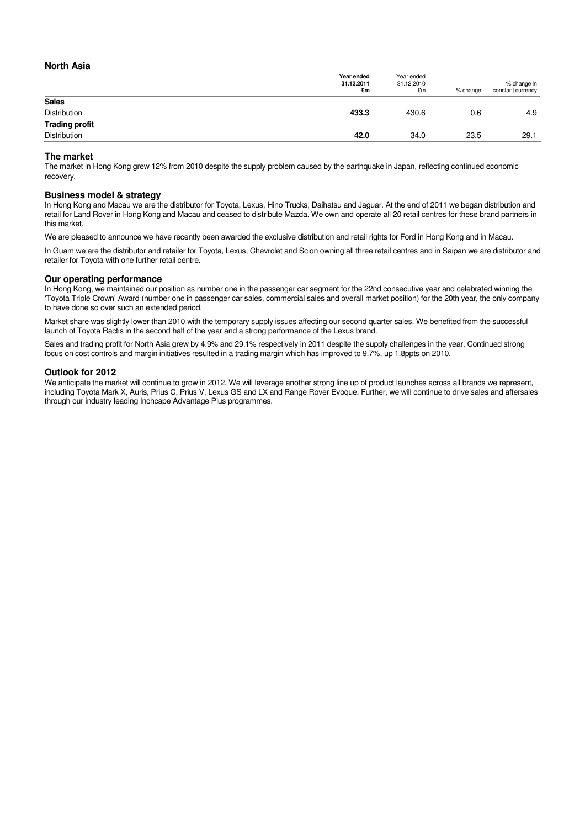## **North Asia**

|                       | Year ended<br>31.12.2011<br>£m | Year ended<br>31.12.2010<br>£m | % change | % change in<br>constant currency |
|-----------------------|--------------------------------|--------------------------------|----------|----------------------------------|
| <b>Sales</b>          |                                |                                |          |                                  |
| Distribution          | 433.3                          | 430.6                          | 0.6      | 4.9                              |
| <b>Trading profit</b> |                                |                                |          |                                  |
| Distribution          | 42.0                           | 34.0                           | 23.5     | 29.1                             |

#### **The market**

The market in Hong Kong grew 12% from 2010 despite the supply problem caused by the earthquake in Japan, reflecting continued economic recovery.

#### **Business model & strategy**

In Hong Kong and Macau we are the distributor for Toyota, Lexus, Hino Trucks, Daihatsu and Jaguar. At the end of 2011 we began distribution and retail for Land Rover in Hong Kong and Macau and ceased to distribute Mazda. We own and operate all 20 retail centres for these brand partners in this market.

We are pleased to announce we have recently been awarded the exclusive distribution and retail rights for Ford in Hong Kong and in Macau.

In Guam we are the distributor and retailer for Toyota, Lexus, Chevrolet and Scion owning all three retail centres and in Saipan we are distributor and retailer for Toyota with one further retail centre.

#### **Our operating performance**

In Hong Kong, we maintained our position as number one in the passenger car segment for the 22nd consecutive year and celebrated winning the 'Toyota Triple Crown' Award (number one in passenger car sales, commercial sales and overall market position) for the 20th year, the only company to have done so over such an extended period.

Market share was slightly lower than 2010 with the temporary supply issues affecting our second quarter sales. We benefited from the successful launch of Toyota Ractis in the second half of the year and a strong performance of the Lexus brand.

Sales and trading profit for North Asia grew by 4.9% and 29.1% respectively in 2011 despite the supply challenges in the year. Continued strong focus on cost controls and margin initiatives resulted in a trading margin which has improved to 9.7%, up 1.8ppts on 2010.

#### **Outlook for 2012**

We anticipate the market will continue to grow in 2012. We will leverage another strong line up of product launches across all brands we represent, including Toyota Mark X, Auris, Prius C, Prius V, Lexus GS and LX and Range Rover Evoque. Further, we will continue to drive sales and aftersales through our industry leading Inchcape Advantage Plus programmes.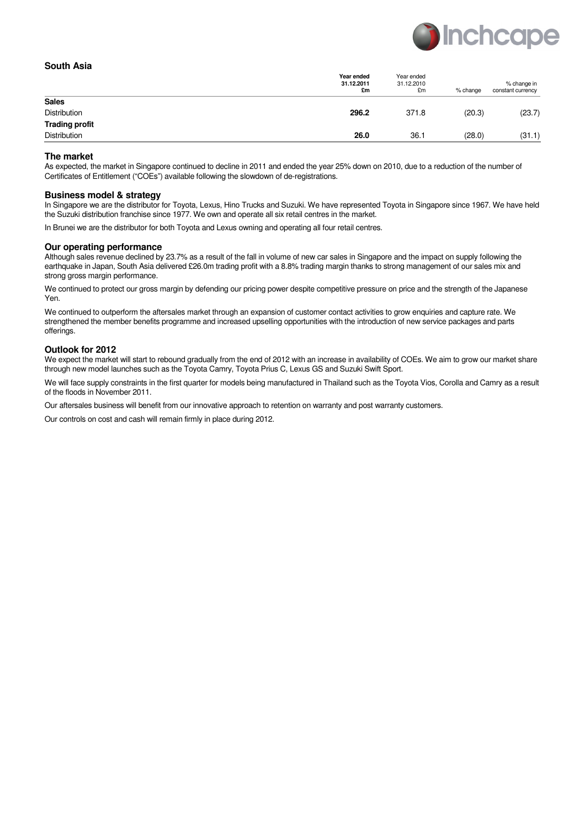

#### **South Asia**

|                       | Year ended<br>31.12.2011<br>£m | Year ended<br>31.12.2010<br>£m | % change | % change in<br>constant currency |
|-----------------------|--------------------------------|--------------------------------|----------|----------------------------------|
| <b>Sales</b>          |                                |                                |          |                                  |
| Distribution          | 296.2                          | 371.8                          | (20.3)   | (23.7)                           |
| <b>Trading profit</b> |                                |                                |          |                                  |
| Distribution          | 26.0                           | 36.1                           | (28.0)   | (31.1)                           |

#### **The market**

As expected, the market in Singapore continued to decline in 2011 and ended the year 25% down on 2010, due to a reduction of the number of Certificates of Entitlement ("COEs") available following the slowdown of de-registrations.

#### **Business model & strategy**

In Singapore we are the distributor for Toyota, Lexus, Hino Trucks and Suzuki. We have represented Toyota in Singapore since 1967. We have held the Suzuki distribution franchise since 1977. We own and operate all six retail centres in the market.

In Brunei we are the distributor for both Toyota and Lexus owning and operating all four retail centres.

#### **Our operating performance**

Although sales revenue declined by 23.7% as a result of the fall in volume of new car sales in Singapore and the impact on supply following the earthquake in Japan, South Asia delivered £26.0m trading profit with a 8.8% trading margin thanks to strong management of our sales mix and strong gross margin performance.

We continued to protect our gross margin by defending our pricing power despite competitive pressure on price and the strength of the Japanese Yen.

We continued to outperform the aftersales market through an expansion of customer contact activities to grow enquiries and capture rate. We strengthened the member benefits programme and increased upselling opportunities with the introduction of new service packages and parts offerings.

#### **Outlook for 2012**

We expect the market will start to rebound gradually from the end of 2012 with an increase in availability of COEs. We aim to grow our market share through new model launches such as the Toyota Camry, Toyota Prius C, Lexus GS and Suzuki Swift Sport.

We will face supply constraints in the first quarter for models being manufactured in Thailand such as the Toyota Vios, Corolla and Camry as a result of the floods in November 2011.

Our aftersales business will benefit from our innovative approach to retention on warranty and post warranty customers.

Our controls on cost and cash will remain firmly in place during 2012.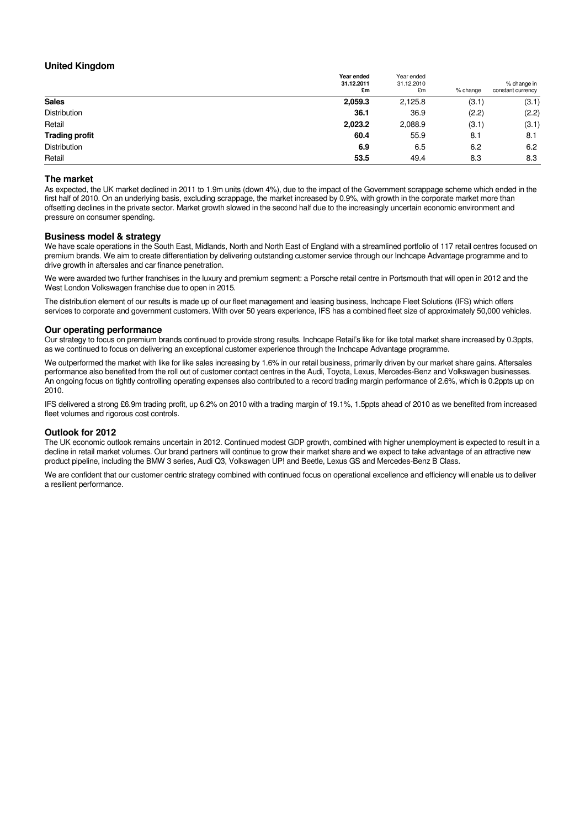## **United Kingdom**

|                       | Year ended<br>31.12.2011<br>£m | Year ended<br>31.12.2010<br>£m | % change | % change in<br>constant currency |
|-----------------------|--------------------------------|--------------------------------|----------|----------------------------------|
| <b>Sales</b>          | 2,059.3                        | 2,125.8                        | (3.1)    | (3.1)                            |
| <b>Distribution</b>   | 36.1                           | 36.9                           | (2.2)    | (2.2)                            |
| Retail                | 2,023.2                        | 2,088.9                        | (3.1)    | (3.1)                            |
| <b>Trading profit</b> | 60.4                           | 55.9                           | 8.1      | 8.1                              |
| Distribution          | 6.9                            | 6.5                            | 6.2      | 6.2                              |
| Retail                | 53.5                           | 49.4                           | 8.3      | 8.3                              |

#### **The market**

As expected, the UK market declined in 2011 to 1.9m units (down 4%), due to the impact of the Government scrappage scheme which ended in the first half of 2010. On an underlying basis, excluding scrappage, the market increased by 0.9%, with growth in the corporate market more than offsetting declines in the private sector. Market growth slowed in the second half due to the increasingly uncertain economic environment and pressure on consumer spending.

#### **Business model & strategy**

We have scale operations in the South East, Midlands, North and North East of England with a streamlined portfolio of 117 retail centres focused on premium brands. We aim to create differentiation by delivering outstanding customer service through our Inchcape Advantage programme and to drive growth in aftersales and car finance penetration.

We were awarded two further franchises in the luxury and premium segment: a Porsche retail centre in Portsmouth that will open in 2012 and the West London Volkswagen franchise due to open in 2015.

The distribution element of our results is made up of our fleet management and leasing business, Inchcape Fleet Solutions (IFS) which offers services to corporate and government customers. With over 50 years experience, IFS has a combined fleet size of approximately 50,000 vehicles.

#### **Our operating performance**

Our strategy to focus on premium brands continued to provide strong results. Inchcape Retail's like for like total market share increased by 0.3ppts, as we continued to focus on delivering an exceptional customer experience through the Inchcape Advantage programme.

We outperformed the market with like for like sales increasing by 1.6% in our retail business, primarily driven by our market share gains. Aftersales performance also benefited from the roll out of customer contact centres in the Audi, Toyota, Lexus, Mercedes-Benz and Volkswagen businesses. An ongoing focus on tightly controlling operating expenses also contributed to a record trading margin performance of 2.6%, which is 0.2ppts up on 2010.

IFS delivered a strong £6.9m trading profit, up 6.2% on 2010 with a trading margin of 19.1%, 1.5ppts ahead of 2010 as we benefited from increased fleet volumes and rigorous cost controls.

#### **Outlook for 2012**

The UK economic outlook remains uncertain in 2012. Continued modest GDP growth, combined with higher unemployment is expected to result in a decline in retail market volumes. Our brand partners will continue to grow their market share and we expect to take advantage of an attractive new product pipeline, including the BMW 3 series, Audi Q3, Volkswagen UP! and Beetle, Lexus GS and Mercedes-Benz B Class.

We are confident that our customer centric strategy combined with continued focus on operational excellence and efficiency will enable us to deliver a resilient performance.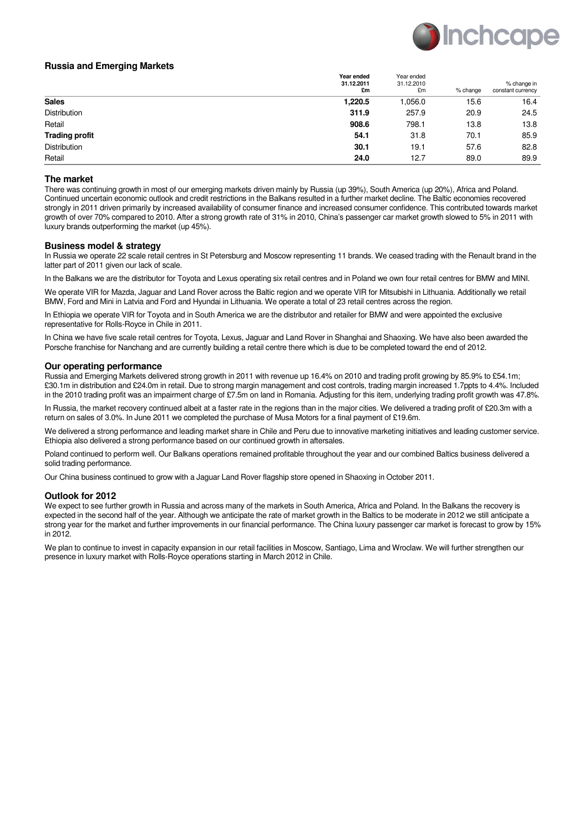

## **Russia and Emerging Markets**

|                       | Year ended<br>31.12.2011<br>£m | Year ended<br>31.12.2010<br>£m | % change | % change in<br>constant currency |
|-----------------------|--------------------------------|--------------------------------|----------|----------------------------------|
| <b>Sales</b>          | 1,220.5                        | 1.056.0                        | 15.6     | 16.4                             |
| Distribution          | 311.9                          | 257.9                          | 20.9     | 24.5                             |
| Retail                | 908.6                          | 798.1                          | 13.8     | 13.8                             |
| <b>Trading profit</b> | 54.1                           | 31.8                           | 70.1     | 85.9                             |
| Distribution          | 30.1                           | 19.1                           | 57.6     | 82.8                             |
| Retail                | 24.0                           | 12.7                           | 89.0     | 89.9                             |

#### **The market**

There was continuing growth in most of our emerging markets driven mainly by Russia (up 39%), South America (up 20%), Africa and Poland. Continued uncertain economic outlook and credit restrictions in the Balkans resulted in a further market decline. The Baltic economies recovered strongly in 2011 driven primarily by increased availability of consumer finance and increased consumer confidence. This contributed towards market growth of over 70% compared to 2010. After a strong growth rate of 31% in 2010, China's passenger car market growth slowed to 5% in 2011 with luxury brands outperforming the market (up 45%).

## **Business model & strategy**

In Russia we operate 22 scale retail centres in St Petersburg and Moscow representing 11 brands. We ceased trading with the Renault brand in the latter part of 2011 given our lack of scale.

In the Balkans we are the distributor for Toyota and Lexus operating six retail centres and in Poland we own four retail centres for BMW and MINI.

We operate VIR for Mazda, Jaguar and Land Rover across the Baltic region and we operate VIR for Mitsubishi in Lithuania. Additionally we retail BMW, Ford and Mini in Latvia and Ford and Hyundai in Lithuania. We operate a total of 23 retail centres across the region.

In Ethiopia we operate VIR for Toyota and in South America we are the distributor and retailer for BMW and were appointed the exclusive representative for Rolls-Royce in Chile in 2011.

In China we have five scale retail centres for Toyota, Lexus, Jaguar and Land Rover in Shanghai and Shaoxing. We have also been awarded the Porsche franchise for Nanchang and are currently building a retail centre there which is due to be completed toward the end of 2012.

#### **Our operating performance**

Russia and Emerging Markets delivered strong growth in 2011 with revenue up 16.4% on 2010 and trading profit growing by 85.9% to £54.1m; £30.1m in distribution and £24.0m in retail. Due to strong margin management and cost controls, trading margin increased 1.7ppts to 4.4%. Included in the 2010 trading profit was an impairment charge of £7.5m on land in Romania. Adjusting for this item, underlying trading profit growth was 47.8%.

In Russia, the market recovery continued albeit at a faster rate in the regions than in the major cities. We delivered a trading profit of £20.3m with a return on sales of 3.0%. In June 2011 we completed the purchase of Musa Motors for a final payment of £19.6m.

We delivered a strong performance and leading market share in Chile and Peru due to innovative marketing initiatives and leading customer service. Ethiopia also delivered a strong performance based on our continued growth in aftersales.

Poland continued to perform well. Our Balkans operations remained profitable throughout the year and our combined Baltics business delivered a solid trading performance.

Our China business continued to grow with a Jaguar Land Rover flagship store opened in Shaoxing in October 2011.

#### **Outlook for 2012**

We expect to see further growth in Russia and across many of the markets in South America, Africa and Poland. In the Balkans the recovery is expected in the second half of the year. Although we anticipate the rate of market growth in the Baltics to be moderate in 2012 we still anticipate a strong year for the market and further improvements in our financial performance. The China luxury passenger car market is forecast to grow by 15% in 2012.

We plan to continue to invest in capacity expansion in our retail facilities in Moscow, Santiago, Lima and Wroclaw. We will further strengthen our presence in luxury market with Rolls-Royce operations starting in March 2012 in Chile.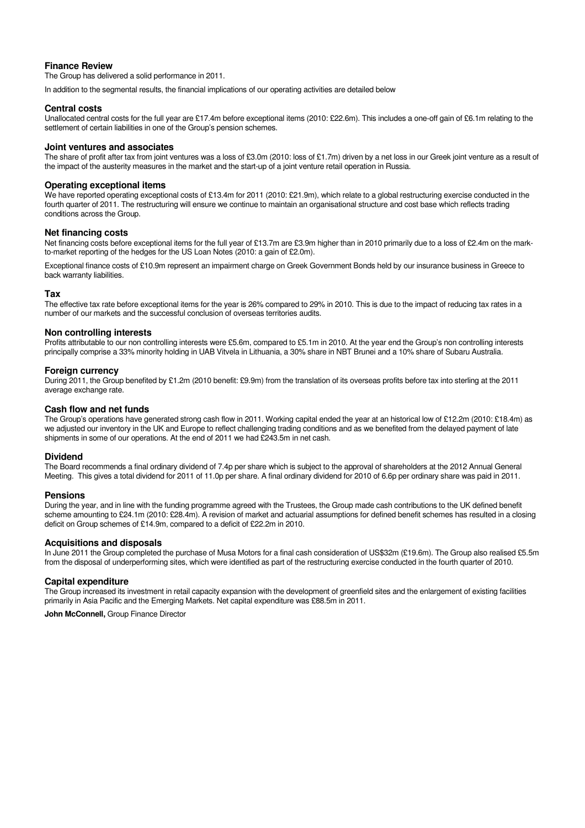## **Finance Review**

The Group has delivered a solid performance in 2011.

In addition to the segmental results, the financial implications of our operating activities are detailed below

#### **Central costs**

Unallocated central costs for the full year are £17.4m before exceptional items (2010: £22.6m). This includes a one-off gain of £6.1m relating to the settlement of certain liabilities in one of the Group's pension schemes.

#### **Joint ventures and associates**

The share of profit after tax from joint ventures was a loss of £3.0m (2010: loss of £1.7m) driven by a net loss in our Greek joint venture as a result of the impact of the austerity measures in the market and the start-up of a joint venture retail operation in Russia.

#### **Operating exceptional items**

We have reported operating exceptional costs of £13.4m for 2011 (2010: £21.9m), which relate to a global restructuring exercise conducted in the fourth quarter of 2011. The restructuring will ensure we continue to maintain an organisational structure and cost base which reflects trading conditions across the Group.

#### **Net financing costs**

Net financing costs before exceptional items for the full year of £13.7m are £3.9m higher than in 2010 primarily due to a loss of £2.4m on the markto-market reporting of the hedges for the US Loan Notes (2010: a gain of £2.0m).

Exceptional finance costs of £10.9m represent an impairment charge on Greek Government Bonds held by our insurance business in Greece to back warranty liabilities.

#### **Tax**

The effective tax rate before exceptional items for the year is 26% compared to 29% in 2010. This is due to the impact of reducing tax rates in a number of our markets and the successful conclusion of overseas territories audits.

#### **Non controlling interests**

Profits attributable to our non controlling interests were £5.6m, compared to £5.1m in 2010. At the year end the Group's non controlling interests principally comprise a 33% minority holding in UAB Vitvela in Lithuania, a 30% share in NBT Brunei and a 10% share of Subaru Australia.

## **Foreign currency**

During 2011, the Group benefited by £1.2m (2010 benefit: £9.9m) from the translation of its overseas profits before tax into sterling at the 2011 average exchange rate.

#### **Cash flow and net funds**

The Group's operations have generated strong cash flow in 2011. Working capital ended the year at an historical low of £12.2m (2010: £18.4m) as we adjusted our inventory in the UK and Europe to reflect challenging trading conditions and as we benefited from the delayed payment of late shipments in some of our operations. At the end of 2011 we had £243.5m in net cash.

## **Dividend**

The Board recommends a final ordinary dividend of 7.4p per share which is subject to the approval of shareholders at the 2012 Annual General Meeting. This gives a total dividend for 2011 of 11.0p per share. A final ordinary dividend for 2010 of 6.6p per ordinary share was paid in 2011.

#### **Pensions**

During the year, and in line with the funding programme agreed with the Trustees, the Group made cash contributions to the UK defined benefit scheme amounting to £24.1m (2010: £28.4m). A revision of market and actuarial assumptions for defined benefit schemes has resulted in a closing deficit on Group schemes of £14.9m, compared to a deficit of £22.2m in 2010.

## **Acquisitions and disposals**

In June 2011 the Group completed the purchase of Musa Motors for a final cash consideration of US\$32m (£19.6m). The Group also realised £5.5m from the disposal of underperforming sites, which were identified as part of the restructuring exercise conducted in the fourth quarter of 2010.

#### **Capital expenditure**

The Group increased its investment in retail capacity expansion with the development of greenfield sites and the enlargement of existing facilities primarily in Asia Pacific and the Emerging Markets. Net capital expenditure was £88.5m in 2011.

**John McConnell,** Group Finance Director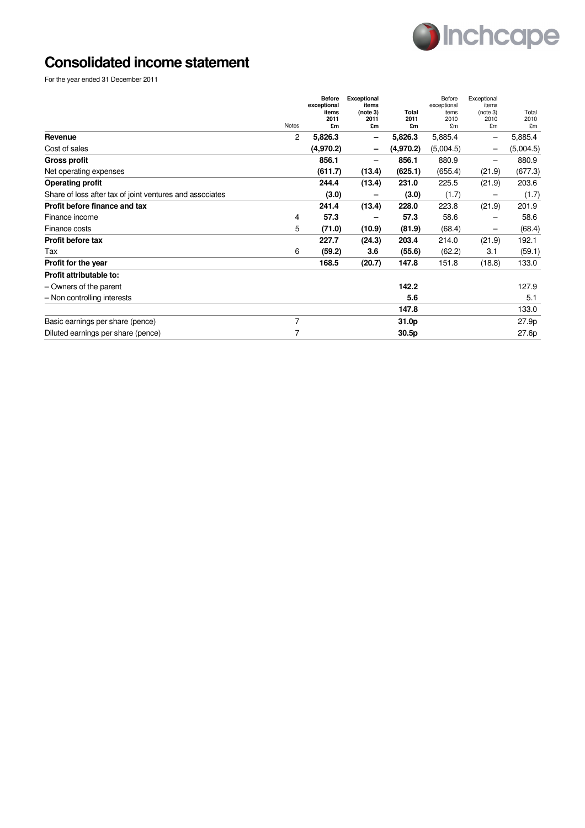

# **Consolidated income statement**

For the year ended 31 December 2011

|                                                          | Notes | <b>Before</b><br>exceptional<br>items<br>2011<br>£m | Exceptional<br>items<br>(note 3)<br>2011<br>£m | Total<br>2011<br>£m | Before<br>exceptional<br>items<br>2010<br>£m | Exceptional<br>items<br>(note 3)<br>2010<br>£m | Total<br>2010<br>£m |
|----------------------------------------------------------|-------|-----------------------------------------------------|------------------------------------------------|---------------------|----------------------------------------------|------------------------------------------------|---------------------|
| Revenue                                                  | 2     | 5,826.3                                             |                                                | 5,826.3             | 5,885.4                                      | $\qquad \qquad$                                | 5,885.4             |
| Cost of sales                                            |       | (4,970.2)                                           |                                                | (4,970.2)           | (5,004.5)                                    |                                                | (5,004.5)           |
| <b>Gross profit</b>                                      |       | 856.1                                               |                                                | 856.1               | 880.9                                        |                                                | 880.9               |
| Net operating expenses                                   |       | (611.7)                                             | (13.4)                                         | (625.1)             | (655.4)                                      | (21.9)                                         | (677.3)             |
| <b>Operating profit</b>                                  |       | 244.4                                               | (13.4)                                         | 231.0               | 225.5                                        | (21.9)                                         | 203.6               |
| Share of loss after tax of joint ventures and associates |       | (3.0)                                               |                                                | (3.0)               | (1.7)                                        |                                                | (1.7)               |
| Profit before finance and tax                            |       | 241.4                                               | (13.4)                                         | 228.0               | 223.8                                        | (21.9)                                         | 201.9               |
| Finance income                                           | 4     | 57.3                                                |                                                | 57.3                | 58.6                                         |                                                | 58.6                |
| Finance costs                                            | 5     | (71.0)                                              | (10.9)                                         | (81.9)              | (68.4)                                       | -                                              | (68.4)              |
| Profit before tax                                        |       | 227.7                                               | (24.3)                                         | 203.4               | 214.0                                        | (21.9)                                         | 192.1               |
| Tax                                                      | 6     | (59.2)                                              | 3.6                                            | (55.6)              | (62.2)                                       | 3.1                                            | (59.1)              |
| Profit for the year                                      |       | 168.5                                               | (20.7)                                         | 147.8               | 151.8                                        | (18.8)                                         | 133.0               |
| Profit attributable to:                                  |       |                                                     |                                                |                     |                                              |                                                |                     |
| - Owners of the parent                                   |       |                                                     |                                                | 142.2               |                                              |                                                | 127.9               |
| - Non controlling interests                              |       |                                                     |                                                | 5.6                 |                                              |                                                | 5.1                 |
|                                                          |       |                                                     |                                                | 147.8               |                                              |                                                | 133.0               |
| Basic earnings per share (pence)                         | 7     |                                                     |                                                | 31.0p               |                                              |                                                | 27.9p               |
| Diluted earnings per share (pence)                       | 7     |                                                     |                                                | 30.5p               |                                              |                                                | 27.6p               |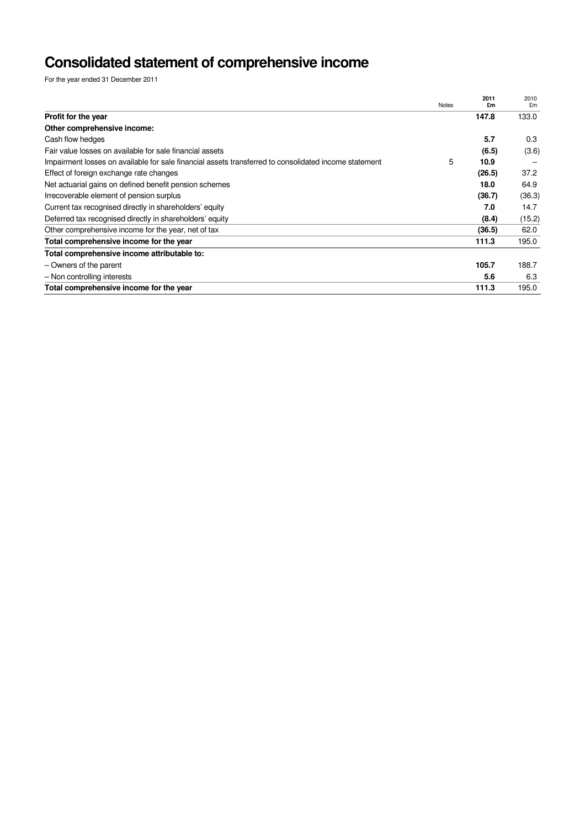# **Consolidated statement of comprehensive income**

For the year ended 31 December 2011

|                                                                                                       | <b>Notes</b> | 2011<br>£m | 2010<br>£m |
|-------------------------------------------------------------------------------------------------------|--------------|------------|------------|
| Profit for the year                                                                                   |              | 147.8      | 133.0      |
| Other comprehensive income:                                                                           |              |            |            |
| Cash flow hedges                                                                                      |              | 5.7        | 0.3        |
| Fair value losses on available for sale financial assets                                              |              | (6.5)      | (3.6)      |
| Impairment losses on available for sale financial assets transferred to consolidated income statement | 5            | 10.9       |            |
| Effect of foreign exchange rate changes                                                               |              | (26.5)     | 37.2       |
| Net actuarial gains on defined benefit pension schemes                                                |              | 18.0       | 64.9       |
| Irrecoverable element of pension surplus                                                              |              | (36.7)     | (36.3)     |
| Current tax recognised directly in shareholders' equity                                               |              | 7.0        | 14.7       |
| Deferred tax recognised directly in shareholders' equity                                              |              | (8.4)      | (15.2)     |
| Other comprehensive income for the year, net of tax                                                   |              | (36.5)     | 62.0       |
| Total comprehensive income for the year                                                               |              | 111.3      | 195.0      |
| Total comprehensive income attributable to:                                                           |              |            |            |
| - Owners of the parent                                                                                |              | 105.7      | 188.7      |
| - Non controlling interests                                                                           |              | 5.6        | 6.3        |
| Total comprehensive income for the year                                                               |              | 111.3      | 195.0      |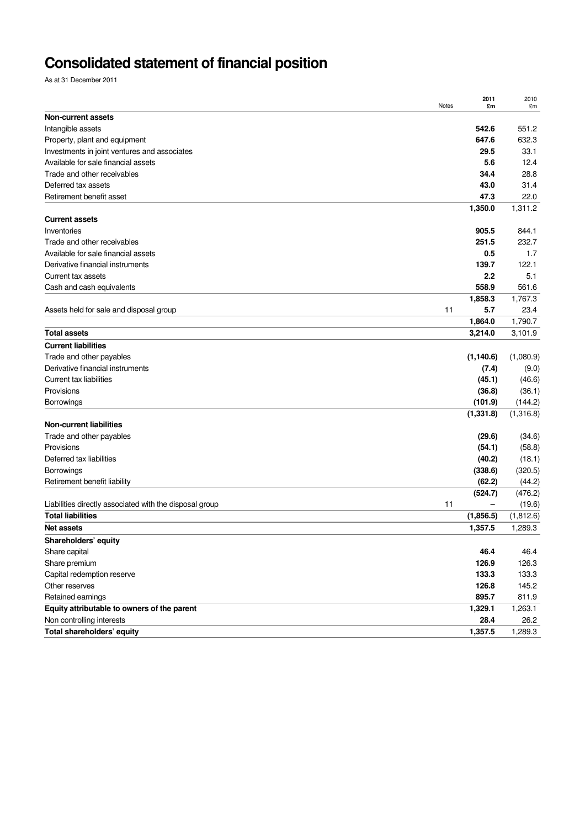# **Consolidated statement of financial position**

As at 31 December 2011

|                                                         | Notes | 2011<br>£m      | 2010<br>£m      |
|---------------------------------------------------------|-------|-----------------|-----------------|
| Non-current assets                                      |       |                 |                 |
| Intangible assets                                       |       | 542.6           | 551.2           |
| Property, plant and equipment                           |       | 647.6           | 632.3           |
| Investments in joint ventures and associates            |       | 29.5            | 33.1            |
| Available for sale financial assets                     |       | 5.6             | 12.4            |
| Trade and other receivables                             |       | 34.4            | 28.8            |
| Deferred tax assets                                     |       | 43.0            | 31.4            |
| Retirement benefit asset                                |       | 47.3<br>1,350.0 | 22.0<br>1,311.2 |
| <b>Current assets</b>                                   |       |                 |                 |
| Inventories                                             |       | 905.5           | 844.1           |
| Trade and other receivables                             |       | 251.5           | 232.7           |
| Available for sale financial assets                     |       | 0.5             | 1.7             |
| Derivative financial instruments                        |       | 139.7           | 122.1           |
| Current tax assets                                      |       | 2.2             | 5.1             |
| Cash and cash equivalents                               |       | 558.9           | 561.6           |
|                                                         |       | 1,858.3         | 1,767.3         |
| Assets held for sale and disposal group                 | 11    | 5.7             | 23.4            |
|                                                         |       | 1,864.0         | 1,790.7         |
| <b>Total assets</b>                                     |       | 3,214.0         | 3,101.9         |
| <b>Current liabilities</b>                              |       |                 |                 |
| Trade and other payables                                |       | (1, 140.6)      | (1,080.9)       |
| Derivative financial instruments                        |       | (7.4)           | (9.0)           |
| Current tax liabilities                                 |       | (45.1)          | (46.6)          |
| Provisions                                              |       | (36.8)          | (36.1)          |
| Borrowings                                              |       | (101.9)         | (144.2)         |
| <b>Non-current liabilities</b>                          |       | (1, 331.8)      | (1,316.8)       |
| Trade and other payables                                |       | (29.6)          | (34.6)          |
| Provisions                                              |       | (54.1)          | (58.8)          |
| Deferred tax liabilities                                |       | (40.2)          | (18.1)          |
| Borrowings                                              |       | (338.6)         | (320.5)         |
| Retirement benefit liability                            |       | (62.2)          | (44.2)          |
|                                                         |       | (524.7)         | (476.2)         |
| Liabilities directly associated with the disposal group | 11    | -               | (19.6)          |
| <b>Total liabilities</b>                                |       | (1,856.5)       | (1,812.6)       |
| <b>Net assets</b>                                       |       | 1,357.5         | 1,289.3         |
| Shareholders' equity                                    |       |                 |                 |
| Share capital                                           |       | 46.4            | 46.4            |
| Share premium                                           |       | 126.9           | 126.3           |
| Capital redemption reserve                              |       | 133.3           | 133.3           |
| Other reserves                                          |       | 126.8           | 145.2           |
| Retained earnings                                       |       | 895.7           | 811.9           |
| Equity attributable to owners of the parent             |       | 1,329.1         | 1,263.1         |
| Non controlling interests                               |       | 28.4            | 26.2            |
| Total shareholders' equity                              |       | 1,357.5         | 1,289.3         |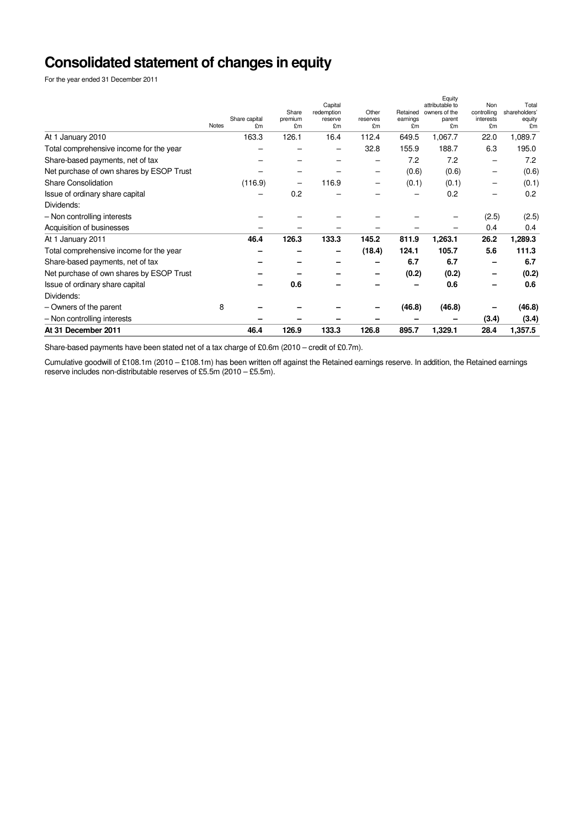# **Consolidated statement of changes in equity**

For the year ended 31 December 2011

| 163.3<br>126.1<br>1,067.7<br>16.4<br>112.4<br>649.5<br>1,089.7<br>At 1 January 2010<br>22.0<br>32.8<br>155.9<br>Total comprehensive income for the year<br>188.7<br>6.3<br>195.0<br>7.2<br>7.2<br>7.2<br>Share-based payments, net of tax<br>Net purchase of own shares by ESOP Trust<br>(0.6)<br>(0.6)<br>(0.6)<br>-<br><b>Share Consolidation</b><br>116.9<br>(0.1)<br>(0.1)<br>(116.9)<br>(0.1)<br>0.2<br>Issue of ordinary share capital<br>0.2<br>0.2<br>-<br>-<br>Dividends:<br>- Non controlling interests<br>(2.5)<br>(2.5)<br>0.4<br>Acquisition of businesses<br>0.4<br>1,289.3<br>126.3<br>133.3<br>145.2<br>811.9<br>1,263.1<br>26.2<br>46.4<br>At 1 January 2011<br>111.3<br>(18.4)<br>124.1<br>105.7<br>5.6<br>Total comprehensive income for the year<br>6.7<br>Share-based payments, net of tax<br>6.7<br>6.7<br>(0.2)<br>(0.2)<br>Net purchase of own shares by ESOP Trust<br>(0.2)<br>0.6<br>0.6<br>Issue of ordinary share capital<br>0.6<br>Dividends:<br>8<br>(46.8)<br>(46.8)<br>(46.8)<br>- Owners of the parent<br>- Non controlling interests<br>(3.4)<br>(3.4)<br>At 31 December 2011<br>126.9<br>133.3<br>126.8<br>895.7<br>1,329.1<br>28.4<br>1,357.5<br>46.4 | <b>Notes</b> | Share capital<br>£m | Share<br>premium<br>£m | Capital<br>redemption<br>reserve<br>£m | Other<br>reserves<br>£m | Retained<br>earnings<br>£m | Equity<br>attributable to<br>owners of the<br>parent<br>£m | Non<br>controlling<br>interests<br>£m | Total<br>shareholders'<br>equity<br>£m |
|-------------------------------------------------------------------------------------------------------------------------------------------------------------------------------------------------------------------------------------------------------------------------------------------------------------------------------------------------------------------------------------------------------------------------------------------------------------------------------------------------------------------------------------------------------------------------------------------------------------------------------------------------------------------------------------------------------------------------------------------------------------------------------------------------------------------------------------------------------------------------------------------------------------------------------------------------------------------------------------------------------------------------------------------------------------------------------------------------------------------------------------------------------------------------------------------|--------------|---------------------|------------------------|----------------------------------------|-------------------------|----------------------------|------------------------------------------------------------|---------------------------------------|----------------------------------------|
|                                                                                                                                                                                                                                                                                                                                                                                                                                                                                                                                                                                                                                                                                                                                                                                                                                                                                                                                                                                                                                                                                                                                                                                           |              |                     |                        |                                        |                         |                            |                                                            |                                       |                                        |
|                                                                                                                                                                                                                                                                                                                                                                                                                                                                                                                                                                                                                                                                                                                                                                                                                                                                                                                                                                                                                                                                                                                                                                                           |              |                     |                        |                                        |                         |                            |                                                            |                                       |                                        |
|                                                                                                                                                                                                                                                                                                                                                                                                                                                                                                                                                                                                                                                                                                                                                                                                                                                                                                                                                                                                                                                                                                                                                                                           |              |                     |                        |                                        |                         |                            |                                                            |                                       |                                        |
|                                                                                                                                                                                                                                                                                                                                                                                                                                                                                                                                                                                                                                                                                                                                                                                                                                                                                                                                                                                                                                                                                                                                                                                           |              |                     |                        |                                        |                         |                            |                                                            |                                       |                                        |
|                                                                                                                                                                                                                                                                                                                                                                                                                                                                                                                                                                                                                                                                                                                                                                                                                                                                                                                                                                                                                                                                                                                                                                                           |              |                     |                        |                                        |                         |                            |                                                            |                                       |                                        |
|                                                                                                                                                                                                                                                                                                                                                                                                                                                                                                                                                                                                                                                                                                                                                                                                                                                                                                                                                                                                                                                                                                                                                                                           |              |                     |                        |                                        |                         |                            |                                                            |                                       |                                        |
|                                                                                                                                                                                                                                                                                                                                                                                                                                                                                                                                                                                                                                                                                                                                                                                                                                                                                                                                                                                                                                                                                                                                                                                           |              |                     |                        |                                        |                         |                            |                                                            |                                       |                                        |
|                                                                                                                                                                                                                                                                                                                                                                                                                                                                                                                                                                                                                                                                                                                                                                                                                                                                                                                                                                                                                                                                                                                                                                                           |              |                     |                        |                                        |                         |                            |                                                            |                                       |                                        |
|                                                                                                                                                                                                                                                                                                                                                                                                                                                                                                                                                                                                                                                                                                                                                                                                                                                                                                                                                                                                                                                                                                                                                                                           |              |                     |                        |                                        |                         |                            |                                                            |                                       |                                        |
|                                                                                                                                                                                                                                                                                                                                                                                                                                                                                                                                                                                                                                                                                                                                                                                                                                                                                                                                                                                                                                                                                                                                                                                           |              |                     |                        |                                        |                         |                            |                                                            |                                       |                                        |
|                                                                                                                                                                                                                                                                                                                                                                                                                                                                                                                                                                                                                                                                                                                                                                                                                                                                                                                                                                                                                                                                                                                                                                                           |              |                     |                        |                                        |                         |                            |                                                            |                                       |                                        |
|                                                                                                                                                                                                                                                                                                                                                                                                                                                                                                                                                                                                                                                                                                                                                                                                                                                                                                                                                                                                                                                                                                                                                                                           |              |                     |                        |                                        |                         |                            |                                                            |                                       |                                        |
|                                                                                                                                                                                                                                                                                                                                                                                                                                                                                                                                                                                                                                                                                                                                                                                                                                                                                                                                                                                                                                                                                                                                                                                           |              |                     |                        |                                        |                         |                            |                                                            |                                       |                                        |
|                                                                                                                                                                                                                                                                                                                                                                                                                                                                                                                                                                                                                                                                                                                                                                                                                                                                                                                                                                                                                                                                                                                                                                                           |              |                     |                        |                                        |                         |                            |                                                            |                                       |                                        |
|                                                                                                                                                                                                                                                                                                                                                                                                                                                                                                                                                                                                                                                                                                                                                                                                                                                                                                                                                                                                                                                                                                                                                                                           |              |                     |                        |                                        |                         |                            |                                                            |                                       |                                        |
|                                                                                                                                                                                                                                                                                                                                                                                                                                                                                                                                                                                                                                                                                                                                                                                                                                                                                                                                                                                                                                                                                                                                                                                           |              |                     |                        |                                        |                         |                            |                                                            |                                       |                                        |
|                                                                                                                                                                                                                                                                                                                                                                                                                                                                                                                                                                                                                                                                                                                                                                                                                                                                                                                                                                                                                                                                                                                                                                                           |              |                     |                        |                                        |                         |                            |                                                            |                                       |                                        |
|                                                                                                                                                                                                                                                                                                                                                                                                                                                                                                                                                                                                                                                                                                                                                                                                                                                                                                                                                                                                                                                                                                                                                                                           |              |                     |                        |                                        |                         |                            |                                                            |                                       |                                        |

Share-based payments have been stated net of a tax charge of £0.6m (2010 – credit of £0.7m).

Cumulative goodwill of £108.1m (2010 – £108.1m) has been written off against the Retained earnings reserve. In addition, the Retained earnings reserve includes non-distributable reserves of £5.5m (2010 – £5.5m).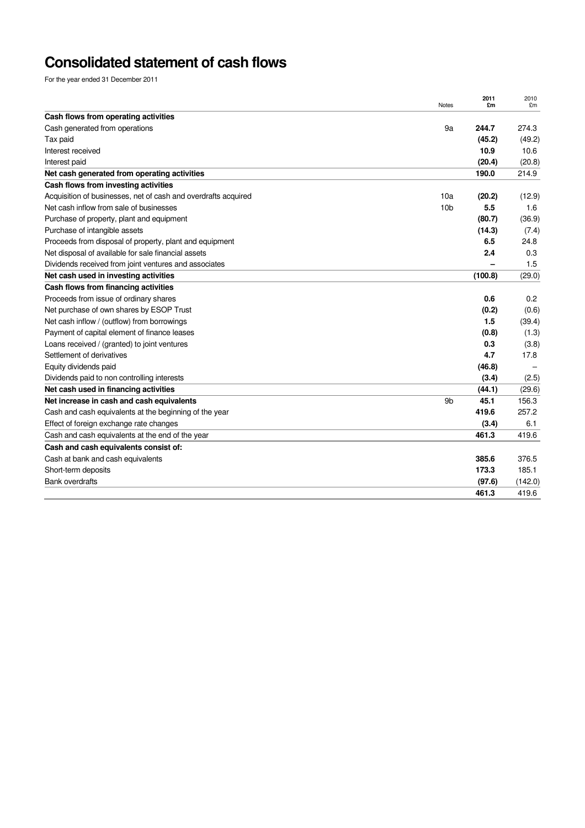# **Consolidated statement of cash flows**

For the year ended 31 December 2011

| Cash flows from operating activities<br>Cash generated from operations<br>244.7<br>9a<br>(45.2)<br>Tax paid<br>10.9<br>Interest received<br>(20.4)<br>Interest paid<br>190.0<br>Net cash generated from operating activities<br>Cash flows from investing activities<br>Acquisition of businesses, net of cash and overdrafts acquired<br>10a<br>(20.2)<br>5.5<br>Net cash inflow from sale of businesses<br>10 <sub>b</sub><br>Purchase of property, plant and equipment<br>(80.7)<br>Purchase of intangible assets<br>(14.3)<br>6.5<br>Proceeds from disposal of property, plant and equipment<br>2.4<br>Net disposal of available for sale financial assets<br>Dividends received from joint ventures and associates<br>Net cash used in investing activities<br>(100.8)<br>Cash flows from financing activities<br>Proceeds from issue of ordinary shares<br>0.6<br>Net purchase of own shares by ESOP Trust<br>(0.2)<br>Net cash inflow / (outflow) from borrowings<br>1.5<br>Payment of capital element of finance leases<br>(0.8)<br>Loans received / (granted) to joint ventures<br>0.3<br>4.7<br>Settlement of derivatives<br>Equity dividends paid<br>(46.8)<br>Dividends paid to non controlling interests<br>(3.4)<br>Net cash used in financing activities<br>(44.1)<br>Net increase in cash and cash equivalents<br>9 <sub>b</sub><br>45.1<br>419.6<br>Cash and cash equivalents at the beginning of the year<br>Effect of foreign exchange rate changes<br>(3.4)<br>461.3<br>Cash and cash equivalents at the end of the year<br>Cash and cash equivalents consist of:<br>Cash at bank and cash equivalents<br>385.6<br>173.3<br>Short-term deposits<br><b>Bank overdrafts</b><br>(97.6)<br>461.3 | Notes | 2011<br>£m | 2010<br>£m |
|------------------------------------------------------------------------------------------------------------------------------------------------------------------------------------------------------------------------------------------------------------------------------------------------------------------------------------------------------------------------------------------------------------------------------------------------------------------------------------------------------------------------------------------------------------------------------------------------------------------------------------------------------------------------------------------------------------------------------------------------------------------------------------------------------------------------------------------------------------------------------------------------------------------------------------------------------------------------------------------------------------------------------------------------------------------------------------------------------------------------------------------------------------------------------------------------------------------------------------------------------------------------------------------------------------------------------------------------------------------------------------------------------------------------------------------------------------------------------------------------------------------------------------------------------------------------------------------------------------------------------------------------------------------------------------------------------------------|-------|------------|------------|
|                                                                                                                                                                                                                                                                                                                                                                                                                                                                                                                                                                                                                                                                                                                                                                                                                                                                                                                                                                                                                                                                                                                                                                                                                                                                                                                                                                                                                                                                                                                                                                                                                                                                                                                  |       |            |            |
|                                                                                                                                                                                                                                                                                                                                                                                                                                                                                                                                                                                                                                                                                                                                                                                                                                                                                                                                                                                                                                                                                                                                                                                                                                                                                                                                                                                                                                                                                                                                                                                                                                                                                                                  |       |            | 274.3      |
|                                                                                                                                                                                                                                                                                                                                                                                                                                                                                                                                                                                                                                                                                                                                                                                                                                                                                                                                                                                                                                                                                                                                                                                                                                                                                                                                                                                                                                                                                                                                                                                                                                                                                                                  |       |            | (49.2)     |
|                                                                                                                                                                                                                                                                                                                                                                                                                                                                                                                                                                                                                                                                                                                                                                                                                                                                                                                                                                                                                                                                                                                                                                                                                                                                                                                                                                                                                                                                                                                                                                                                                                                                                                                  |       |            | 10.6       |
|                                                                                                                                                                                                                                                                                                                                                                                                                                                                                                                                                                                                                                                                                                                                                                                                                                                                                                                                                                                                                                                                                                                                                                                                                                                                                                                                                                                                                                                                                                                                                                                                                                                                                                                  |       |            | (20.8)     |
|                                                                                                                                                                                                                                                                                                                                                                                                                                                                                                                                                                                                                                                                                                                                                                                                                                                                                                                                                                                                                                                                                                                                                                                                                                                                                                                                                                                                                                                                                                                                                                                                                                                                                                                  |       |            | 214.9      |
|                                                                                                                                                                                                                                                                                                                                                                                                                                                                                                                                                                                                                                                                                                                                                                                                                                                                                                                                                                                                                                                                                                                                                                                                                                                                                                                                                                                                                                                                                                                                                                                                                                                                                                                  |       |            |            |
|                                                                                                                                                                                                                                                                                                                                                                                                                                                                                                                                                                                                                                                                                                                                                                                                                                                                                                                                                                                                                                                                                                                                                                                                                                                                                                                                                                                                                                                                                                                                                                                                                                                                                                                  |       |            | (12.9)     |
|                                                                                                                                                                                                                                                                                                                                                                                                                                                                                                                                                                                                                                                                                                                                                                                                                                                                                                                                                                                                                                                                                                                                                                                                                                                                                                                                                                                                                                                                                                                                                                                                                                                                                                                  |       |            | 1.6        |
|                                                                                                                                                                                                                                                                                                                                                                                                                                                                                                                                                                                                                                                                                                                                                                                                                                                                                                                                                                                                                                                                                                                                                                                                                                                                                                                                                                                                                                                                                                                                                                                                                                                                                                                  |       |            | (36.9)     |
|                                                                                                                                                                                                                                                                                                                                                                                                                                                                                                                                                                                                                                                                                                                                                                                                                                                                                                                                                                                                                                                                                                                                                                                                                                                                                                                                                                                                                                                                                                                                                                                                                                                                                                                  |       |            | (7.4)      |
|                                                                                                                                                                                                                                                                                                                                                                                                                                                                                                                                                                                                                                                                                                                                                                                                                                                                                                                                                                                                                                                                                                                                                                                                                                                                                                                                                                                                                                                                                                                                                                                                                                                                                                                  |       |            | 24.8       |
|                                                                                                                                                                                                                                                                                                                                                                                                                                                                                                                                                                                                                                                                                                                                                                                                                                                                                                                                                                                                                                                                                                                                                                                                                                                                                                                                                                                                                                                                                                                                                                                                                                                                                                                  |       |            | 0.3        |
|                                                                                                                                                                                                                                                                                                                                                                                                                                                                                                                                                                                                                                                                                                                                                                                                                                                                                                                                                                                                                                                                                                                                                                                                                                                                                                                                                                                                                                                                                                                                                                                                                                                                                                                  |       |            | 1.5        |
|                                                                                                                                                                                                                                                                                                                                                                                                                                                                                                                                                                                                                                                                                                                                                                                                                                                                                                                                                                                                                                                                                                                                                                                                                                                                                                                                                                                                                                                                                                                                                                                                                                                                                                                  |       |            | (29.0)     |
|                                                                                                                                                                                                                                                                                                                                                                                                                                                                                                                                                                                                                                                                                                                                                                                                                                                                                                                                                                                                                                                                                                                                                                                                                                                                                                                                                                                                                                                                                                                                                                                                                                                                                                                  |       |            |            |
|                                                                                                                                                                                                                                                                                                                                                                                                                                                                                                                                                                                                                                                                                                                                                                                                                                                                                                                                                                                                                                                                                                                                                                                                                                                                                                                                                                                                                                                                                                                                                                                                                                                                                                                  |       |            | 0.2        |
|                                                                                                                                                                                                                                                                                                                                                                                                                                                                                                                                                                                                                                                                                                                                                                                                                                                                                                                                                                                                                                                                                                                                                                                                                                                                                                                                                                                                                                                                                                                                                                                                                                                                                                                  |       |            | (0.6)      |
|                                                                                                                                                                                                                                                                                                                                                                                                                                                                                                                                                                                                                                                                                                                                                                                                                                                                                                                                                                                                                                                                                                                                                                                                                                                                                                                                                                                                                                                                                                                                                                                                                                                                                                                  |       |            | (39.4)     |
|                                                                                                                                                                                                                                                                                                                                                                                                                                                                                                                                                                                                                                                                                                                                                                                                                                                                                                                                                                                                                                                                                                                                                                                                                                                                                                                                                                                                                                                                                                                                                                                                                                                                                                                  |       |            | (1.3)      |
|                                                                                                                                                                                                                                                                                                                                                                                                                                                                                                                                                                                                                                                                                                                                                                                                                                                                                                                                                                                                                                                                                                                                                                                                                                                                                                                                                                                                                                                                                                                                                                                                                                                                                                                  |       |            | (3.8)      |
|                                                                                                                                                                                                                                                                                                                                                                                                                                                                                                                                                                                                                                                                                                                                                                                                                                                                                                                                                                                                                                                                                                                                                                                                                                                                                                                                                                                                                                                                                                                                                                                                                                                                                                                  |       |            | 17.8       |
|                                                                                                                                                                                                                                                                                                                                                                                                                                                                                                                                                                                                                                                                                                                                                                                                                                                                                                                                                                                                                                                                                                                                                                                                                                                                                                                                                                                                                                                                                                                                                                                                                                                                                                                  |       |            |            |
|                                                                                                                                                                                                                                                                                                                                                                                                                                                                                                                                                                                                                                                                                                                                                                                                                                                                                                                                                                                                                                                                                                                                                                                                                                                                                                                                                                                                                                                                                                                                                                                                                                                                                                                  |       |            | (2.5)      |
|                                                                                                                                                                                                                                                                                                                                                                                                                                                                                                                                                                                                                                                                                                                                                                                                                                                                                                                                                                                                                                                                                                                                                                                                                                                                                                                                                                                                                                                                                                                                                                                                                                                                                                                  |       |            | (29.6)     |
|                                                                                                                                                                                                                                                                                                                                                                                                                                                                                                                                                                                                                                                                                                                                                                                                                                                                                                                                                                                                                                                                                                                                                                                                                                                                                                                                                                                                                                                                                                                                                                                                                                                                                                                  |       |            | 156.3      |
|                                                                                                                                                                                                                                                                                                                                                                                                                                                                                                                                                                                                                                                                                                                                                                                                                                                                                                                                                                                                                                                                                                                                                                                                                                                                                                                                                                                                                                                                                                                                                                                                                                                                                                                  |       |            | 257.2      |
|                                                                                                                                                                                                                                                                                                                                                                                                                                                                                                                                                                                                                                                                                                                                                                                                                                                                                                                                                                                                                                                                                                                                                                                                                                                                                                                                                                                                                                                                                                                                                                                                                                                                                                                  |       |            | 6.1        |
|                                                                                                                                                                                                                                                                                                                                                                                                                                                                                                                                                                                                                                                                                                                                                                                                                                                                                                                                                                                                                                                                                                                                                                                                                                                                                                                                                                                                                                                                                                                                                                                                                                                                                                                  |       |            | 419.6      |
|                                                                                                                                                                                                                                                                                                                                                                                                                                                                                                                                                                                                                                                                                                                                                                                                                                                                                                                                                                                                                                                                                                                                                                                                                                                                                                                                                                                                                                                                                                                                                                                                                                                                                                                  |       |            |            |
|                                                                                                                                                                                                                                                                                                                                                                                                                                                                                                                                                                                                                                                                                                                                                                                                                                                                                                                                                                                                                                                                                                                                                                                                                                                                                                                                                                                                                                                                                                                                                                                                                                                                                                                  |       |            | 376.5      |
|                                                                                                                                                                                                                                                                                                                                                                                                                                                                                                                                                                                                                                                                                                                                                                                                                                                                                                                                                                                                                                                                                                                                                                                                                                                                                                                                                                                                                                                                                                                                                                                                                                                                                                                  |       |            | 185.1      |
|                                                                                                                                                                                                                                                                                                                                                                                                                                                                                                                                                                                                                                                                                                                                                                                                                                                                                                                                                                                                                                                                                                                                                                                                                                                                                                                                                                                                                                                                                                                                                                                                                                                                                                                  |       |            | (142.0)    |
|                                                                                                                                                                                                                                                                                                                                                                                                                                                                                                                                                                                                                                                                                                                                                                                                                                                                                                                                                                                                                                                                                                                                                                                                                                                                                                                                                                                                                                                                                                                                                                                                                                                                                                                  |       |            | 419.6      |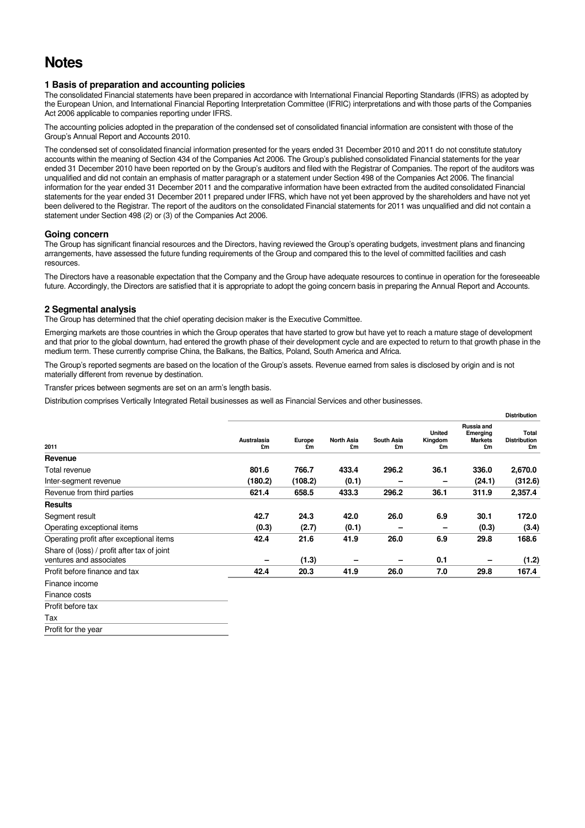## **Notes**

## **1 Basis of preparation and accounting policies**

The consolidated Financial statements have been prepared in accordance with International Financial Reporting Standards (IFRS) as adopted by the European Union, and International Financial Reporting Interpretation Committee (IFRIC) interpretations and with those parts of the Companies Act 2006 applicable to companies reporting under IFRS.

The accounting policies adopted in the preparation of the condensed set of consolidated financial information are consistent with those of the Group's Annual Report and Accounts 2010.

The condensed set of consolidated financial information presented for the years ended 31 December 2010 and 2011 do not constitute statutory accounts within the meaning of Section 434 of the Companies Act 2006. The Group's published consolidated Financial statements for the year ended 31 December 2010 have been reported on by the Group's auditors and filed with the Registrar of Companies. The report of the auditors was unqualified and did not contain an emphasis of matter paragraph or a statement under Section 498 of the Companies Act 2006. The financial information for the year ended 31 December 2011 and the comparative information have been extracted from the audited consolidated Financial statements for the year ended 31 December 2011 prepared under IFRS, which have not yet been approved by the shareholders and have not yet been delivered to the Registrar. The report of the auditors on the consolidated Financial statements for 2011 was unqualified and did not contain a statement under Section 498 (2) or (3) of the Companies Act 2006.

## **Going concern**

The Group has significant financial resources and the Directors, having reviewed the Group's operating budgets, investment plans and financing arrangements, have assessed the future funding requirements of the Group and compared this to the level of committed facilities and cash resources.

The Directors have a reasonable expectation that the Company and the Group have adequate resources to continue in operation for the foreseeable future. Accordingly, the Directors are satisfied that it is appropriate to adopt the going concern basis in preparing the Annual Report and Accounts.

## **2 Segmental analysis**

The Group has determined that the chief operating decision maker is the Executive Committee.

Emerging markets are those countries in which the Group operates that have started to grow but have yet to reach a mature stage of development and that prior to the global downturn, had entered the growth phase of their development cycle and are expected to return to that growth phase in the medium term. These currently comprise China, the Balkans, the Baltics, Poland, South America and Africa.

The Group's reported segments are based on the location of the Group's assets. Revenue earned from sales is disclosed by origin and is not materially different from revenue by destination.

Transfer prices between segments are set on an arm's length basis.

Distribution comprises Vertically Integrated Retail businesses as well as Financial Services and other businesses.

|                                                                        |                   |              |                         |                  |                                |                                                | <b>Distribution</b>                |
|------------------------------------------------------------------------|-------------------|--------------|-------------------------|------------------|--------------------------------|------------------------------------------------|------------------------------------|
| 2011                                                                   | Australasia<br>£m | Europe<br>£m | <b>North Asia</b><br>£m | South Asia<br>£m | <b>United</b><br>Kingdom<br>£m | Russia and<br>Emerging<br><b>Markets</b><br>£m | Total<br><b>Distribution</b><br>£m |
| Revenue                                                                |                   |              |                         |                  |                                |                                                |                                    |
| Total revenue                                                          | 801.6             | 766.7        | 433.4                   | 296.2            | 36.1                           | 336.0                                          | 2,670.0                            |
| Inter-segment revenue                                                  | (180.2)           | (108.2)      | (0.1)                   |                  | -                              | (24.1)                                         | (312.6)                            |
| Revenue from third parties                                             | 621.4             | 658.5        | 433.3                   | 296.2            | 36.1                           | 311.9                                          | 2,357.4                            |
| <b>Results</b>                                                         |                   |              |                         |                  |                                |                                                |                                    |
| Segment result                                                         | 42.7              | 24.3         | 42.0                    | 26.0             | 6.9                            | 30.1                                           | 172.0                              |
| Operating exceptional items                                            | (0.3)             | (2.7)        | (0.1)                   | -                | -                              | (0.3)                                          | (3.4)                              |
| Operating profit after exceptional items                               | 42.4              | 21.6         | 41.9                    | 26.0             | 6.9                            | 29.8                                           | 168.6                              |
| Share of (loss) / profit after tax of joint<br>ventures and associates |                   | (1.3)        |                         |                  | 0.1                            |                                                | (1.2)                              |
| Profit before finance and tax                                          | 42.4              | 20.3         | 41.9                    | 26.0             | 7.0                            | 29.8                                           | 167.4                              |
| Finance income                                                         |                   |              |                         |                  |                                |                                                |                                    |
| Finance costs                                                          |                   |              |                         |                  |                                |                                                |                                    |
| Profit before tax                                                      |                   |              |                         |                  |                                |                                                |                                    |
| Tax                                                                    |                   |              |                         |                  |                                |                                                |                                    |

Profit for the year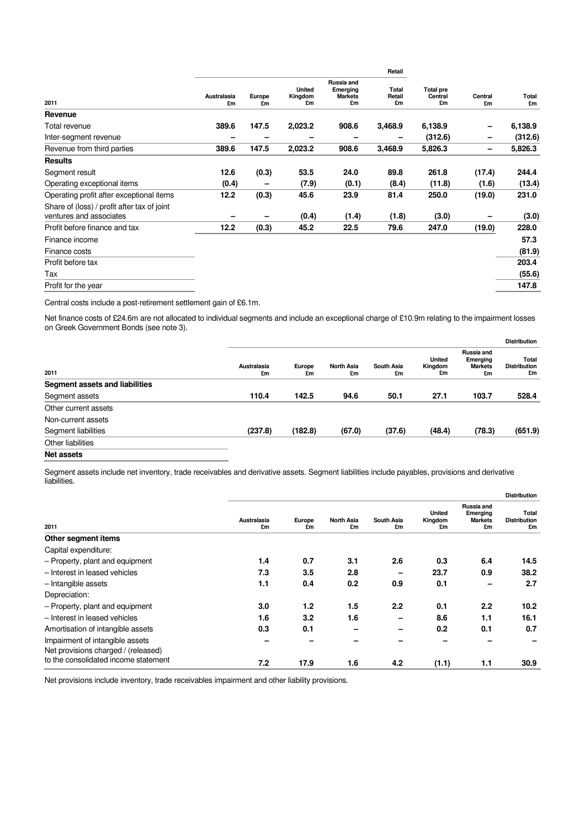|                                                                        |                   |              |                                |                                                | Retail                |                                   |               |             |
|------------------------------------------------------------------------|-------------------|--------------|--------------------------------|------------------------------------------------|-----------------------|-----------------------------------|---------------|-------------|
| 2011                                                                   | Australasia<br>£m | Europe<br>£m | <b>United</b><br>Kingdom<br>£m | Russia and<br>Emerging<br><b>Markets</b><br>£m | Total<br>Retail<br>£m | <b>Total pre</b><br>Central<br>£m | Central<br>£m | Total<br>£m |
| Revenue                                                                |                   |              |                                |                                                |                       |                                   |               |             |
| Total revenue                                                          | 389.6             | 147.5        | 2,023.2                        | 908.6                                          | 3,468.9               | 6,138.9                           | -             | 6,138.9     |
| Inter-segment revenue                                                  |                   |              |                                | -                                              |                       | (312.6)                           | -             | (312.6)     |
| Revenue from third parties                                             | 389.6             | 147.5        | 2,023.2                        | 908.6                                          | 3,468.9               | 5,826.3                           | -             | 5,826.3     |
| <b>Results</b>                                                         |                   |              |                                |                                                |                       |                                   |               |             |
| Segment result                                                         | 12.6              | (0.3)        | 53.5                           | 24.0                                           | 89.8                  | 261.8                             | (17.4)        | 244.4       |
| Operating exceptional items                                            | (0.4)             |              | (7.9)                          | (0.1)                                          | (8.4)                 | (11.8)                            | (1.6)         | (13.4)      |
| Operating profit after exceptional items                               | 12.2              | (0.3)        | 45.6                           | 23.9                                           | 81.4                  | 250.0                             | (19.0)        | 231.0       |
| Share of (loss) / profit after tax of joint<br>ventures and associates |                   |              | (0.4)                          | (1.4)                                          | (1.8)                 | (3.0)                             |               | (3.0)       |
| Profit before finance and tax                                          | 12.2              | (0.3)        | 45.2                           | 22.5                                           | 79.6                  | 247.0                             | (19.0)        | 228.0       |
| Finance income                                                         |                   |              |                                |                                                |                       |                                   |               | 57.3        |
| Finance costs                                                          |                   |              |                                |                                                |                       |                                   |               | (81.9)      |
| Profit before tax                                                      |                   |              |                                |                                                |                       |                                   |               | 203.4       |
| Tax                                                                    |                   |              |                                |                                                |                       |                                   |               | (55.6)      |
| Profit for the year                                                    |                   |              |                                |                                                |                       |                                   |               | 147.8       |

Central costs include a post-retirement settlement gain of £6.1m.

Net finance costs of £24.6m are not allocated to individual segments and include an exceptional charge of £10.9m relating to the impairment losses on Greek Government Bonds (see note 3).

|                                |                   |              |                         |                         |                                |                                                | <b>Distribution</b>                |
|--------------------------------|-------------------|--------------|-------------------------|-------------------------|--------------------------------|------------------------------------------------|------------------------------------|
| 2011                           | Australasia<br>£m | Europe<br>£m | <b>North Asia</b><br>£m | <b>South Asia</b><br>£m | <b>United</b><br>Kingdom<br>£m | Russia and<br>Emerging<br><b>Markets</b><br>£m | Total<br><b>Distribution</b><br>£m |
| Segment assets and liabilities |                   |              |                         |                         |                                |                                                |                                    |
| Segment assets                 | 110.4             | 142.5        | 94.6                    | 50.1                    | 27.1                           | 103.7                                          | 528.4                              |
| Other current assets           |                   |              |                         |                         |                                |                                                |                                    |
| Non-current assets             |                   |              |                         |                         |                                |                                                |                                    |
| Segment liabilities            | (237.8)           | (182.8)      | (67.0)                  | (37.6)                  | (48.4)                         | (78.3)                                         | (651.9)                            |
| Other liabilities              |                   |              |                         |                         |                                |                                                |                                    |
| Net assets                     |                   |              |                         |                         |                                |                                                |                                    |

Segment assets include net inventory, trade receivables and derivative assets. Segment liabilities include payables, provisions and derivative liabilities.

|                                                                        |                   |              |                         |                         |                                |                                                | <b>Distribution</b>                |
|------------------------------------------------------------------------|-------------------|--------------|-------------------------|-------------------------|--------------------------------|------------------------------------------------|------------------------------------|
| 2011                                                                   | Australasia<br>£m | Europe<br>£m | <b>North Asia</b><br>£m | <b>South Asia</b><br>£m | <b>United</b><br>Kingdom<br>£m | Russia and<br>Emerging<br><b>Markets</b><br>£m | Total<br><b>Distribution</b><br>£m |
| Other segment items                                                    |                   |              |                         |                         |                                |                                                |                                    |
| Capital expenditure:                                                   |                   |              |                         |                         |                                |                                                |                                    |
| - Property, plant and equipment                                        | 1.4               | 0.7          | 3.1                     | 2.6                     | 0.3                            | 6.4                                            | 14.5                               |
| - Interest in leased vehicles                                          | 7.3               | 3.5          | 2.8                     |                         | 23.7                           | 0.9                                            | 38.2                               |
| - Intangible assets                                                    | 1.1               | 0.4          | 0.2                     | 0.9                     | 0.1                            | -                                              | 2.7                                |
| Depreciation:                                                          |                   |              |                         |                         |                                |                                                |                                    |
| - Property, plant and equipment                                        | 3.0               | 1.2          | 1.5                     | 2.2                     | 0.1                            | 2.2                                            | 10.2                               |
| - Interest in leased vehicles                                          | 1.6               | 3.2          | 1.6                     |                         | 8.6                            | 1.1                                            | 16.1                               |
| Amortisation of intangible assets                                      | 0.3               | 0.1          |                         |                         | 0.2                            | 0.1                                            | 0.7                                |
| Impairment of intangible assets<br>Net provisions charged / (released) |                   |              |                         |                         |                                |                                                |                                    |
| to the consolidated income statement                                   | 7.2               | 17.9         | 1.6                     | 4.2                     | (1.1)                          | 1.1                                            | 30.9                               |

Net provisions include inventory, trade receivables impairment and other liability provisions.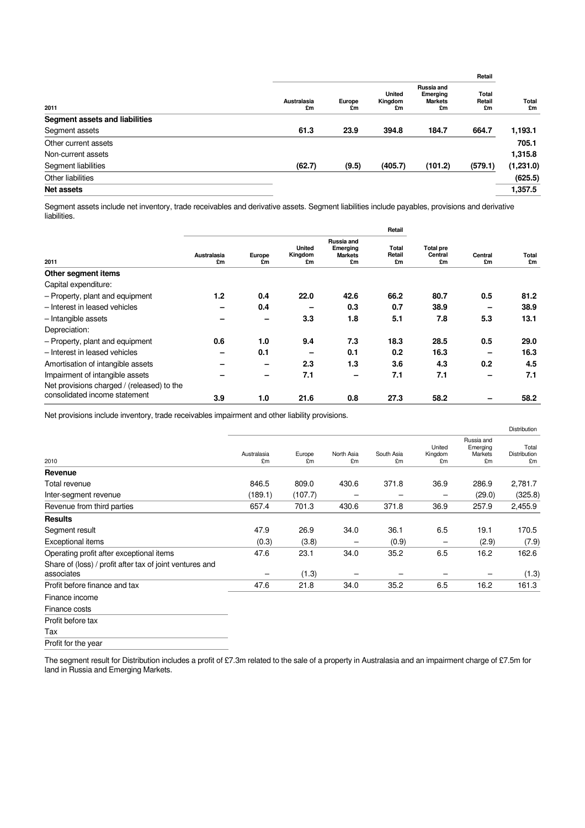|                                |                   |              |                                |                                                | Retail                |             |
|--------------------------------|-------------------|--------------|--------------------------------|------------------------------------------------|-----------------------|-------------|
| 2011                           | Australasia<br>£m | Europe<br>£m | <b>United</b><br>Kingdom<br>£m | Russia and<br>Emerging<br><b>Markets</b><br>£m | Total<br>Retail<br>£m | Total<br>£m |
| Segment assets and liabilities |                   |              |                                |                                                |                       |             |
| Segment assets                 | 61.3              | 23.9         | 394.8                          | 184.7                                          | 664.7                 | 1,193.1     |
| Other current assets           |                   |              |                                |                                                |                       | 705.1       |
| Non-current assets             |                   |              |                                |                                                |                       | 1,315.8     |
| Segment liabilities            | (62.7)            | (9.5)        | (405.7)                        | (101.2)                                        | (579.1)               | (1,231.0)   |
| Other liabilities              |                   |              |                                |                                                |                       | (625.5)     |
| Net assets                     |                   |              |                                |                                                |                       | 1,357.5     |
|                                |                   |              |                                |                                                |                       |             |

Segment assets include net inventory, trade receivables and derivative assets. Segment liabilities include payables, provisions and derivative liabilities.

| 2011                                       | Australasia<br>£m | Europe<br>£m | United<br>Kingdom<br>£m | Russia and<br>Emerging<br><b>Markets</b><br>£m | Total<br>Retail<br>£m | <b>Total pre</b><br>Central<br>£m | Central<br>£m | Total<br>£m |
|--------------------------------------------|-------------------|--------------|-------------------------|------------------------------------------------|-----------------------|-----------------------------------|---------------|-------------|
| Other segment items                        |                   |              |                         |                                                |                       |                                   |               |             |
| Capital expenditure:                       |                   |              |                         |                                                |                       |                                   |               |             |
| - Property, plant and equipment            | 1.2               | 0.4          | 22.0                    | 42.6                                           | 66.2                  | 80.7                              | 0.5           | 81.2        |
| - Interest in leased vehicles              |                   | 0.4          |                         | 0.3                                            | 0.7                   | 38.9                              |               | 38.9        |
| - Intangible assets                        |                   |              | 3.3                     | 1.8                                            | 5.1                   | 7.8                               | 5.3           | 13.1        |
| Depreciation:                              |                   |              |                         |                                                |                       |                                   |               |             |
| - Property, plant and equipment            | 0.6               | 1.0          | 9.4                     | 7.3                                            | 18.3                  | 28.5                              | 0.5           | 29.0        |
| - Interest in leased vehicles              | -                 | 0.1          | -                       | 0.1                                            | 0.2                   | 16.3                              | -             | 16.3        |
| Amortisation of intangible assets          |                   | -            | 2.3                     | 1.3                                            | 3.6                   | 4.3                               | 0.2           | 4.5         |
| Impairment of intangible assets            |                   |              | 7.1                     | -                                              | 7.1                   | 7.1                               |               | 7.1         |
| Net provisions charged / (released) to the |                   |              |                         |                                                |                       |                                   |               |             |
| consolidated income statement              | 3.9               | 1.0          | 21.6                    | 0.8                                            | 27.3                  | 58.2                              |               | 58.2        |

Net provisions include inventory, trade receivables impairment and other liability provisions.

|                                                                        |                   |              |                  |                  |                         |                                         | Distribution                |
|------------------------------------------------------------------------|-------------------|--------------|------------------|------------------|-------------------------|-----------------------------------------|-----------------------------|
| 2010                                                                   | Australasia<br>£m | Europe<br>£m | North Asia<br>£m | South Asia<br>£m | United<br>Kingdom<br>£m | Russia and<br>Emerging<br>Markets<br>£m | Total<br>Distribution<br>£m |
| Revenue                                                                |                   |              |                  |                  |                         |                                         |                             |
| Total revenue                                                          | 846.5             | 809.0        | 430.6            | 371.8            | 36.9                    | 286.9                                   | 2,781.7                     |
| Inter-segment revenue                                                  | (189.1)           | (107.7)      | -                |                  | -                       | (29.0)                                  | (325.8)                     |
| Revenue from third parties                                             | 657.4             | 701.3        | 430.6            | 371.8            | 36.9                    | 257.9                                   | 2,455.9                     |
| <b>Results</b>                                                         |                   |              |                  |                  |                         |                                         |                             |
| Segment result                                                         | 47.9              | 26.9         | 34.0             | 36.1             | 6.5                     | 19.1                                    | 170.5                       |
| Exceptional items                                                      | (0.3)             | (3.8)        |                  | (0.9)            | -                       | (2.9)                                   | (7.9)                       |
| Operating profit after exceptional items                               | 47.6              | 23.1         | 34.0             | 35.2             | 6.5                     | 16.2                                    | 162.6                       |
| Share of (loss) / profit after tax of joint ventures and<br>associates |                   | (1.3)        |                  |                  |                         |                                         | (1.3)                       |
| Profit before finance and tax                                          | 47.6              | 21.8         | 34.0             | 35.2             | 6.5                     | 16.2                                    | 161.3                       |
| Finance income                                                         |                   |              |                  |                  |                         |                                         |                             |
| Finance costs                                                          |                   |              |                  |                  |                         |                                         |                             |
| Profit before tax                                                      |                   |              |                  |                  |                         |                                         |                             |
| Tax                                                                    |                   |              |                  |                  |                         |                                         |                             |

Profit for the year

The segment result for Distribution includes a profit of £7.3m related to the sale of a property in Australasia and an impairment charge of £7.5m for land in Russia and Emerging Markets.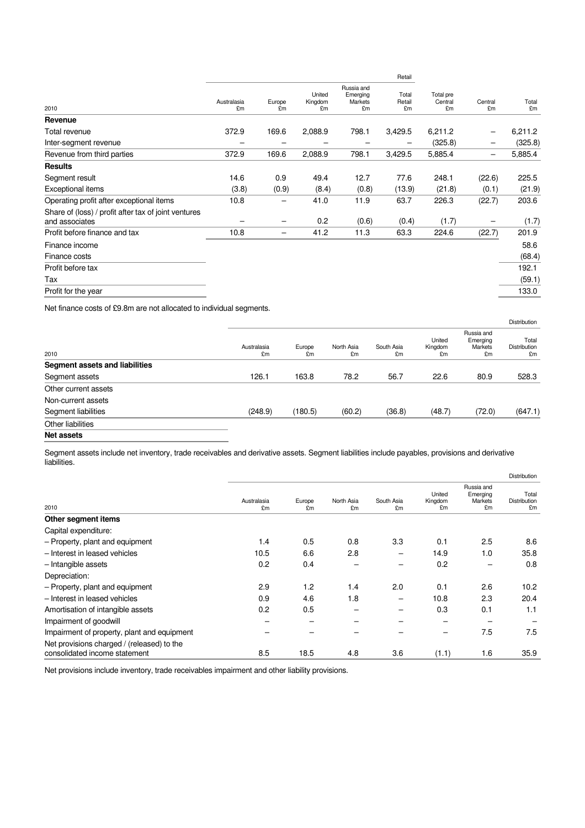|                                                                        |                   |              |                         |                                         | Retail                |                            |                   |                |
|------------------------------------------------------------------------|-------------------|--------------|-------------------------|-----------------------------------------|-----------------------|----------------------------|-------------------|----------------|
| 2010                                                                   | Australasia<br>£m | Europe<br>£m | United<br>Kingdom<br>£m | Russia and<br>Emerging<br>Markets<br>£m | Total<br>Retail<br>£m | Total pre<br>Central<br>£m | Central<br>£m     | Total<br>£m    |
| Revenue                                                                |                   |              |                         |                                         |                       |                            |                   |                |
| Total revenue                                                          | 372.9             | 169.6        | 2,088.9                 | 798.1                                   | 3,429.5               | 6,211.2                    |                   | 6,211.2        |
| Inter-segment revenue                                                  |                   |              |                         |                                         |                       | (325.8)                    |                   | (325.8)        |
| Revenue from third parties                                             | 372.9             | 169.6        | 2,088.9                 | 798.1                                   | 3,429.5               | 5,885.4                    | $\qquad \qquad -$ | 5,885.4        |
| <b>Results</b>                                                         |                   |              |                         |                                         |                       |                            |                   |                |
| Segment result                                                         | 14.6              | 0.9          | 49.4                    | 12.7                                    | 77.6                  | 248.1                      | (22.6)            | 225.5          |
| Exceptional items                                                      | (3.8)             | (0.9)        | (8.4)                   | (0.8)                                   | (13.9)                | (21.8)                     | (0.1)             | (21.9)         |
| Operating profit after exceptional items                               | 10.8              | -            | 41.0                    | 11.9                                    | 63.7                  | 226.3                      | (22.7)            | 203.6          |
| Share of (loss) / profit after tax of joint ventures<br>and associates |                   |              | 0.2                     | (0.6)                                   | (0.4)                 | (1.7)                      |                   | (1.7)          |
| Profit before finance and tax                                          | 10.8              | -            | 41.2                    | 11.3                                    | 63.3                  | 224.6                      | (22.7)            | 201.9          |
| Finance income<br>Finance costs                                        |                   |              |                         |                                         |                       |                            |                   | 58.6<br>(68.4) |
| Profit before tax                                                      |                   |              |                         |                                         |                       |                            |                   | 192.1          |
| Tax                                                                    |                   |              |                         |                                         |                       |                            |                   | (59.1)         |
| Profit for the year                                                    |                   |              |                         |                                         |                       |                            |                   | 133.0          |
|                                                                        |                   |              |                         |                                         |                       |                            |                   |                |

Net finance costs of £9.8m are not allocated to individual segments.

|                                |                   |              |                  |                  |                         |                                                | Distribution                |
|--------------------------------|-------------------|--------------|------------------|------------------|-------------------------|------------------------------------------------|-----------------------------|
| 2010                           | Australasia<br>£m | Europe<br>£m | North Asia<br>£m | South Asia<br>£m | United<br>Kingdom<br>£m | Russia and<br>Emerging<br><b>Markets</b><br>£m | Total<br>Distribution<br>£m |
| Segment assets and liabilities |                   |              |                  |                  |                         |                                                |                             |
| Segment assets                 | 126.1             | 163.8        | 78.2             | 56.7             | 22.6                    | 80.9                                           | 528.3                       |
| Other current assets           |                   |              |                  |                  |                         |                                                |                             |
| Non-current assets             |                   |              |                  |                  |                         |                                                |                             |
| Segment liabilities            | (248.9)           | (180.5)      | (60.2)           | (36.8)           | (48.7)                  | (72.0)                                         | (647.1)                     |
| Other liabilities              |                   |              |                  |                  |                         |                                                |                             |
| <b>Net assets</b>              |                   |              |                  |                  |                         |                                                |                             |

Segment assets include net inventory, trade receivables and derivative assets. Segment liabilities include payables, provisions and derivative liabilities.

|                                                                             |                   |              |                  |                  |                         |                                                | Distribution                       |
|-----------------------------------------------------------------------------|-------------------|--------------|------------------|------------------|-------------------------|------------------------------------------------|------------------------------------|
| 2010                                                                        | Australasia<br>£m | Europe<br>£m | North Asia<br>£m | South Asia<br>£m | United<br>Kingdom<br>£m | Russia and<br>Emerging<br><b>Markets</b><br>£m | Total<br><b>Distribution</b><br>£m |
| Other segment items                                                         |                   |              |                  |                  |                         |                                                |                                    |
| Capital expenditure:                                                        |                   |              |                  |                  |                         |                                                |                                    |
| - Property, plant and equipment                                             | 1.4               | 0.5          | 0.8              | 3.3              | 0.1                     | 2.5                                            | 8.6                                |
| - Interest in leased vehicles                                               | 10.5              | 6.6          | 2.8              |                  | 14.9                    | 1.0                                            | 35.8                               |
| - Intangible assets                                                         | 0.2               | 0.4          |                  |                  | 0.2                     |                                                | 0.8                                |
| Depreciation:                                                               |                   |              |                  |                  |                         |                                                |                                    |
| - Property, plant and equipment                                             | 2.9               | 1.2          | 1.4              | 2.0              | 0.1                     | 2.6                                            | 10.2                               |
| - Interest in leased vehicles                                               | 0.9               | 4.6          | 1.8              |                  | 10.8                    | 2.3                                            | 20.4                               |
| Amortisation of intangible assets                                           | 0.2               | 0.5          |                  |                  | 0.3                     | 0.1                                            | 1.1                                |
| Impairment of goodwill                                                      |                   | -            |                  |                  | -                       |                                                |                                    |
| Impairment of property, plant and equipment                                 |                   |              |                  |                  |                         | 7.5                                            | 7.5                                |
| Net provisions charged / (released) to the<br>consolidated income statement | 8.5               | 18.5         | 4.8              | 3.6              | (1.1)                   | 1.6                                            | 35.9                               |

Net provisions include inventory, trade receivables impairment and other liability provisions.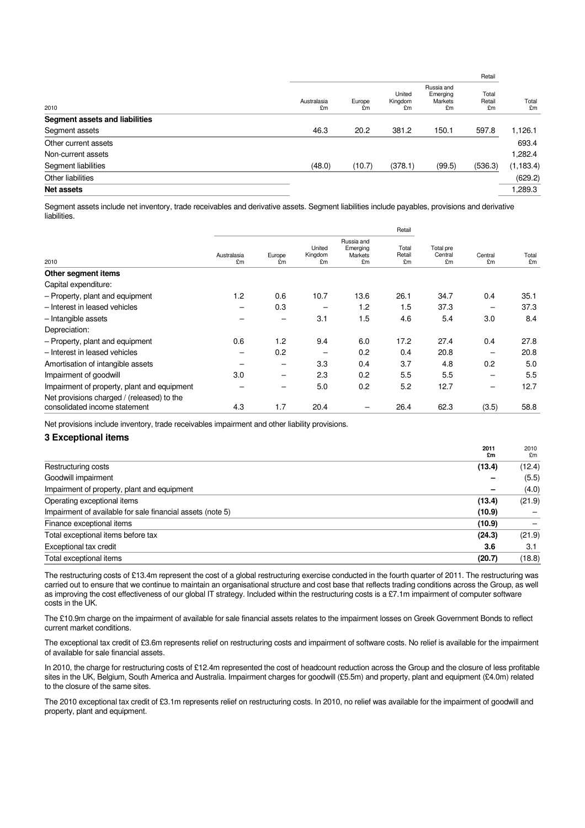| 2010                           | Australasia<br>£m | Europe<br>£m | United<br>Kingdom<br>£m | Russia and<br>Emerging<br>Markets<br>£m | Total<br>Retail<br>£m | Total<br>£m |
|--------------------------------|-------------------|--------------|-------------------------|-----------------------------------------|-----------------------|-------------|
| Segment assets and liabilities |                   |              |                         |                                         |                       |             |
| Segment assets                 | 46.3              | 20.2         | 381.2                   | 150.1                                   | 597.8                 | 1,126.1     |
| Other current assets           |                   |              |                         |                                         |                       | 693.4       |
| Non-current assets             |                   |              |                         |                                         |                       | 1,282.4     |
| Segment liabilities            | (48.0)            | (10.7)       | (378.1)                 | (99.5)                                  | (536.3)               | (1, 183.4)  |
| Other liabilities              |                   |              |                         |                                         |                       | (629.2)     |
| <b>Net assets</b>              |                   |              |                         |                                         |                       | 1,289.3     |
|                                |                   |              |                         |                                         |                       |             |

Segment assets include net inventory, trade receivables and derivative assets. Segment liabilities include payables, provisions and derivative liabilities.

|                                             |                   |              |                         |                                         | Retail                |                            |               |             |
|---------------------------------------------|-------------------|--------------|-------------------------|-----------------------------------------|-----------------------|----------------------------|---------------|-------------|
| 2010                                        | Australasia<br>£m | Europe<br>£m | United<br>Kingdom<br>£m | Russia and<br>Emerging<br>Markets<br>£m | Total<br>Retail<br>£m | Total pre<br>Central<br>£m | Central<br>£m | Total<br>£m |
| Other segment items                         |                   |              |                         |                                         |                       |                            |               |             |
| Capital expenditure:                        |                   |              |                         |                                         |                       |                            |               |             |
| - Property, plant and equipment             | 1.2               | 0.6          | 10.7                    | 13.6                                    | 26.1                  | 34.7                       | 0.4           | 35.1        |
| - Interest in leased vehicles               |                   | 0.3          | -                       | 1.2                                     | 1.5                   | 37.3                       | -             | 37.3        |
| - Intangible assets                         |                   | -            | 3.1                     | 1.5                                     | 4.6                   | 5.4                        | 3.0           | 8.4         |
| Depreciation:                               |                   |              |                         |                                         |                       |                            |               |             |
| - Property, plant and equipment             | 0.6               | 1.2          | 9.4                     | 6.0                                     | 17.2                  | 27.4                       | 0.4           | 27.8        |
| - Interest in leased vehicles               |                   | 0.2          | -                       | 0.2                                     | 0.4                   | 20.8                       | -             | 20.8        |
| Amortisation of intangible assets           |                   | -            | 3.3                     | 0.4                                     | 3.7                   | 4.8                        | 0.2           | 5.0         |
| Impairment of goodwill                      | 3.0               | -            | 2.3                     | 0.2                                     | 5.5                   | 5.5                        |               | 5.5         |
| Impairment of property, plant and equipment |                   |              | 5.0                     | 0.2                                     | 5.2                   | 12.7                       | -             | 12.7        |
| Net provisions charged / (released) to the  |                   |              |                         |                                         |                       |                            |               |             |
| consolidated income statement               | 4.3               | 1.7          | 20.4                    |                                         | 26.4                  | 62.3                       | (3.5)         | 58.8        |

Net provisions include inventory, trade receivables impairment and other liability provisions.

## **3 Exceptional items**

|                                                            | 2011<br>£m | 2010<br>£m |
|------------------------------------------------------------|------------|------------|
| Restructuring costs                                        | (13.4)     | (12.4)     |
| Goodwill impairment                                        |            | (5.5)      |
| Impairment of property, plant and equipment                | -          | (4.0)      |
| Operating exceptional items                                | (13.4)     | (21.9)     |
| Impairment of available for sale financial assets (note 5) | (10.9)     |            |
| Finance exceptional items                                  | (10.9)     |            |
| Total exceptional items before tax                         | (24.3)     | (21.9)     |
| Exceptional tax credit                                     | 3.6        | 3.1        |
| Total exceptional items                                    | (20.7)     | (18.8)     |

The restructuring costs of £13.4m represent the cost of a global restructuring exercise conducted in the fourth quarter of 2011. The restructuring was carried out to ensure that we continue to maintain an organisational structure and cost base that reflects trading conditions across the Group, as well as improving the cost effectiveness of our global IT strategy. Included within the restructuring costs is a £7.1m impairment of computer software costs in the UK.

The £10.9m charge on the impairment of available for sale financial assets relates to the impairment losses on Greek Government Bonds to reflect current market conditions.

The exceptional tax credit of £3.6m represents relief on restructuring costs and impairment of software costs. No relief is available for the impairment of available for sale financial assets.

In 2010, the charge for restructuring costs of £12.4m represented the cost of headcount reduction across the Group and the closure of less profitable sites in the UK, Belgium, South America and Australia. Impairment charges for goodwill (£5.5m) and property, plant and equipment (£4.0m) related to the closure of the same sites.

The 2010 exceptional tax credit of £3.1m represents relief on restructuring costs. In 2010, no relief was available for the impairment of goodwill and property, plant and equipment.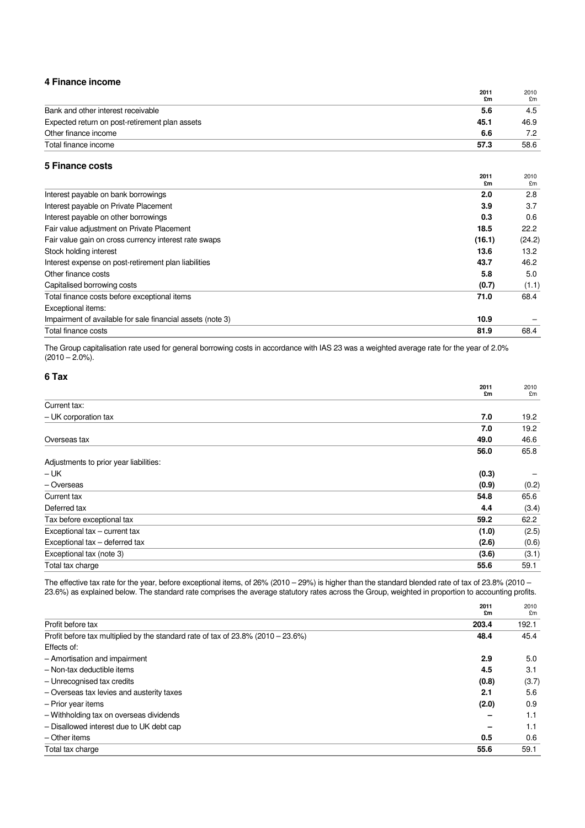## **4 Finance income**

|                                                | 2011<br>£m | 2010<br>£m |
|------------------------------------------------|------------|------------|
| Bank and other interest receivable             | 5.6        | 4.5        |
| Expected return on post-retirement plan assets | 45.1       | 46.9       |
| Other finance income                           | 6.6        | 7.2        |
| Total finance income                           | 57.3       | 58.6       |

## **5 Finance costs**

|                                                            | 2011<br>£m | 2010<br>£m |
|------------------------------------------------------------|------------|------------|
| Interest payable on bank borrowings                        | 2.0        | 2.8        |
| Interest payable on Private Placement                      | 3.9        | 3.7        |
| Interest payable on other borrowings                       | 0.3        | 0.6        |
| Fair value adjustment on Private Placement                 | 18.5       | 22.2       |
| Fair value gain on cross currency interest rate swaps      | (16.1)     | (24.2)     |
| Stock holding interest                                     | 13.6       | 13.2       |
| Interest expense on post-retirement plan liabilities       | 43.7       | 46.2       |
| Other finance costs                                        | 5.8        | 5.0        |
| Capitalised borrowing costs                                | (0.7)      | (1.1)      |
| Total finance costs before exceptional items               | 71.0       | 68.4       |
| Exceptional items:                                         |            |            |
| Impairment of available for sale financial assets (note 3) | 10.9       |            |
| Total finance costs                                        | 81.9       | 68.4       |

The Group capitalisation rate used for general borrowing costs in accordance with IAS 23 was a weighted average rate for the year of 2.0%  $(2010 - 2.0\%)$ .

## **6 Tax**

|                                        | 2011  | 2010  |
|----------------------------------------|-------|-------|
|                                        | £m    | £m    |
| Current tax:                           |       |       |
| - UK corporation tax                   | 7.0   | 19.2  |
|                                        | 7.0   | 19.2  |
| Overseas tax                           | 49.0  | 46.6  |
|                                        | 56.0  | 65.8  |
| Adjustments to prior year liabilities: |       |       |
| – UK                                   | (0.3) |       |
| - Overseas                             | (0.9) | (0.2) |
| Current tax                            | 54.8  | 65.6  |
| Deferred tax                           | 4.4   | (3.4) |
| Tax before exceptional tax             | 59.2  | 62.2  |
| Exceptional tax - current tax          | (1.0) | (2.5) |
| Exceptional tax - deferred tax         | (2.6) | (0.6) |
| Exceptional tax (note 3)               | (3.6) | (3.1) |
| Total tax charge                       | 55.6  | 59.1  |

The effective tax rate for the year, before exceptional items, of 26% (2010 – 29%) is higher than the standard blended rate of tax of 23.8% (2010 – 23.6%) as explained below. The standard rate comprises the average statutory rates across the Group, weighted in proportion to accounting profits.

|                                                                                          | 2011<br>£m | 2010<br>£m |
|------------------------------------------------------------------------------------------|------------|------------|
| Profit before tax                                                                        | 203.4      | 192.1      |
| Profit before tax multiplied by the standard rate of tax of $23.8\%$ ( $2010 - 23.6\%$ ) | 48.4       | 45.4       |
| Effects of:                                                                              |            |            |
| - Amortisation and impairment                                                            | 2.9        | 5.0        |
| - Non-tax deductible items                                                               | 4.5        | 3.1        |
| - Unrecognised tax credits                                                               | (0.8)      | (3.7)      |
| - Overseas tax levies and austerity taxes                                                | 2.1        | 5.6        |
| - Prior year items                                                                       | (2.0)      | 0.9        |
| - Withholding tax on overseas dividends                                                  |            | 1.1        |
| - Disallowed interest due to UK debt cap                                                 |            | 1.1        |
| $-$ Other items                                                                          | 0.5        | 0.6        |
| Total tax charge                                                                         | 55.6       | 59.1       |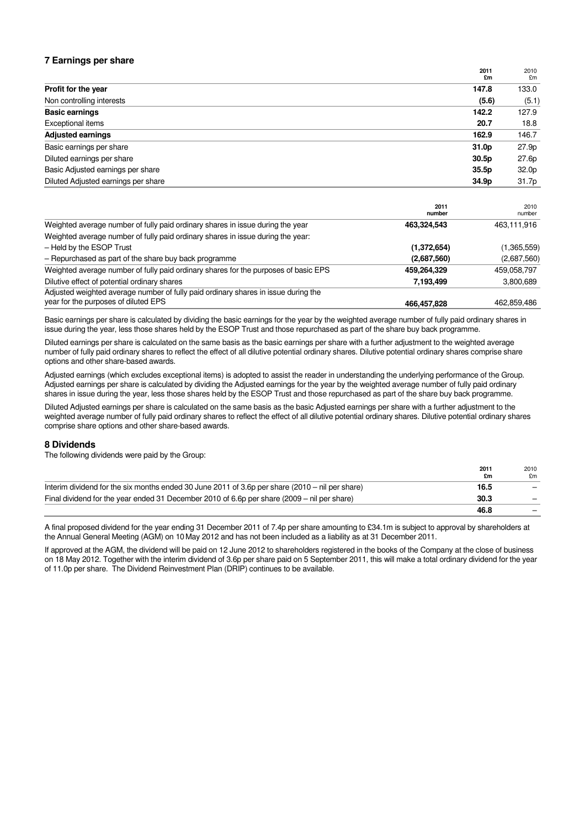## **7 Earnings per share**

|                                     | 2011<br>£m        | 2010<br>£m        |
|-------------------------------------|-------------------|-------------------|
| Profit for the year                 | 147.8             | 133.0             |
| Non controlling interests           | (5.6)             | (5.1)             |
| <b>Basic earnings</b>               | 142.2             | 127.9             |
| Exceptional items                   | 20.7              | 18.8              |
| <b>Adjusted earnings</b>            | 162.9             | 146.7             |
| Basic earnings per share            | 31.0 <sub>p</sub> | 27.9 <sub>p</sub> |
| Diluted earnings per share          | 30.5 <sub>p</sub> | 27.6p             |
| Basic Adjusted earnings per share   | 35.5p             | 32.0 <sub>p</sub> |
| Diluted Adjusted earnings per share | 34.9p             | 31.7p             |

|                                                                                     | 2011<br>number | 2010<br>number |
|-------------------------------------------------------------------------------------|----------------|----------------|
| Weighted average number of fully paid ordinary shares in issue during the year      | 463,324,543    | 463,111,916    |
| Weighted average number of fully paid ordinary shares in issue during the year:     |                |                |
| - Held by the ESOP Trust                                                            | (1,372,654)    | (1,365,559)    |
| - Repurchased as part of the share buy back programme                               | (2,687,560)    | (2,687,560)    |
| Weighted average number of fully paid ordinary shares for the purposes of basic EPS | 459,264,329    | 459,058,797    |
| Dilutive effect of potential ordinary shares                                        | 7,193,499      | 3,800,689      |
| Adjusted weighted average number of fully paid ordinary shares in issue during the  |                |                |
| year for the purposes of diluted EPS                                                | 466,457,828    | 462,859,486    |

Basic earnings per share is calculated by dividing the basic earnings for the year by the weighted average number of fully paid ordinary shares in issue during the year, less those shares held by the ESOP Trust and those repurchased as part of the share buy back programme.

Diluted earnings per share is calculated on the same basis as the basic earnings per share with a further adjustment to the weighted average number of fully paid ordinary shares to reflect the effect of all dilutive potential ordinary shares. Dilutive potential ordinary shares comprise share options and other share-based awards.

Adjusted earnings (which excludes exceptional items) is adopted to assist the reader in understanding the underlying performance of the Group. Adjusted earnings per share is calculated by dividing the Adjusted earnings for the year by the weighted average number of fully paid ordinary shares in issue during the year, less those shares held by the ESOP Trust and those repurchased as part of the share buy back programme.

Diluted Adjusted earnings per share is calculated on the same basis as the basic Adjusted earnings per share with a further adjustment to the weighted average number of fully paid ordinary shares to reflect the effect of all dilutive potential ordinary shares. Dilutive potential ordinary shares comprise share options and other share-based awards.

## **8 Dividends**

The following dividends were paid by the Group:

|                                                                                                          | 2011<br>£m | 2010<br>£m |
|----------------------------------------------------------------------------------------------------------|------------|------------|
| Interim dividend for the six months ended 30 June 2011 of 3.6p per share $(2010 - \text{nil}$ per share) | 16.5       |            |
| Final dividend for the year ended 31 December 2010 of 6.6p per share (2009 – nil per share)              | 30.3       |            |
|                                                                                                          | 46.8       |            |

A final proposed dividend for the year ending 31 December 2011 of 7.4p per share amounting to £34.1m is subject to approval by shareholders at the Annual General Meeting (AGM) on 10May 2012 and has not been included as a liability as at 31 December 2011.

If approved at the AGM, the dividend will be paid on 12 June 2012 to shareholders registered in the books of the Company at the close of business on 18 May 2012. Together with the interim dividend of 3.6p per share paid on 5 September 2011, this will make a total ordinary dividend for the year of 11.0p per share. The Dividend Reinvestment Plan (DRIP) continues to be available.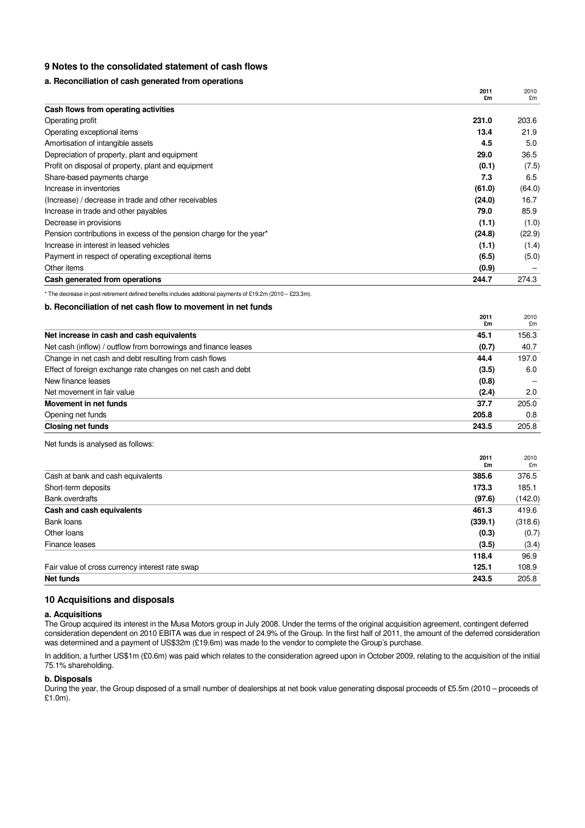## **9 Notes to the consolidated statement of cash flows**

## **a. Reconciliation of cash generated from operations**

|                                                                     | 2011<br>£m | 2010<br>£m |
|---------------------------------------------------------------------|------------|------------|
| Cash flows from operating activities                                |            |            |
| Operating profit                                                    | 231.0      | 203.6      |
| Operating exceptional items                                         | 13.4       | 21.9       |
| Amortisation of intangible assets                                   | 4.5        | 5.0        |
| Depreciation of property, plant and equipment                       | 29.0       | 36.5       |
| Profit on disposal of property, plant and equipment                 | (0.1)      | (7.5)      |
| Share-based payments charge                                         | 7.3        | 6.5        |
| Increase in inventories                                             | (61.0)     | (64.0)     |
| (Increase) / decrease in trade and other receivables                | (24.0)     | 16.7       |
| Increase in trade and other payables                                | 79.0       | 85.9       |
| Decrease in provisions                                              | (1.1)      | (1.0)      |
| Pension contributions in excess of the pension charge for the year* | (24.8)     | (22.9)     |
| Increase in interest in leased vehicles                             | (1.1)      | (1.4)      |
| Payment in respect of operating exceptional items                   | (6.5)      | (5.0)      |
| Other items                                                         | (0.9)      |            |
| Cash generated from operations                                      | 244.7      | 274.3      |

\* The decrease in post-retirement defined benefits includes additional payments of £19.2m (2010 – £23.3m).

## **b. Reconciliation of net cash flow to movement in net funds**

|                                                                | 2011<br>£m | 2010<br>£m |
|----------------------------------------------------------------|------------|------------|
| Net increase in cash and cash equivalents                      | 45.1       | 156.3      |
| Net cash (inflow) / outflow from borrowings and finance leases | (0.7)      | 40.7       |
| Change in net cash and debt resulting from cash flows          | 44.4       | 197.0      |
| Effect of foreign exchange rate changes on net cash and debt   | (3.5)      | 6.0        |
| New finance leases                                             | (0.8)      |            |
| Net movement in fair value                                     | (2.4)      | 2.0        |
| Movement in net funds                                          | 37.7       | 205.0      |
| Opening net funds                                              | 205.8      | 0.8        |
| <b>Closing net funds</b>                                       | 243.5      | 205.8      |

Net funds is analysed as follows:

|                                                 | 2011    | 2010    |
|-------------------------------------------------|---------|---------|
|                                                 | £m      | £m      |
| Cash at bank and cash equivalents               | 385.6   | 376.5   |
| Short-term deposits                             | 173.3   | 185.1   |
| <b>Bank overdrafts</b>                          | (97.6)  | (142.0) |
| Cash and cash equivalents                       | 461.3   | 419.6   |
| Bank loans                                      | (339.1) | (318.6) |
| Other loans                                     | (0.3)   | (0.7)   |
| Finance leases                                  | (3.5)   | (3.4)   |
|                                                 | 118.4   | 96.9    |
| Fair value of cross currency interest rate swap | 125.1   | 108.9   |
| Net funds                                       | 243.5   | 205.8   |

## **10 Acquisitions and disposals**

#### **a. Acquisitions**

The Group acquired its interest in the Musa Motors group in July 2008. Under the terms of the original acquisition agreement, contingent deferred consideration dependent on 2010 EBITA was due in respect of 24.9% of the Group. In the first half of 2011, the amount of the deferred consideration was determined and a payment of US\$32m (£19.6m) was made to the vendor to complete the Group's purchase.

In addition, a further US\$1m (£0.6m) was paid which relates to the consideration agreed upon in October 2009, relating to the acquisition of the initial 75.1% shareholding.

## **b. Disposals**

During the year, the Group disposed of a small number of dealerships at net book value generating disposal proceeds of £5.5m (2010 – proceeds of £1.0m).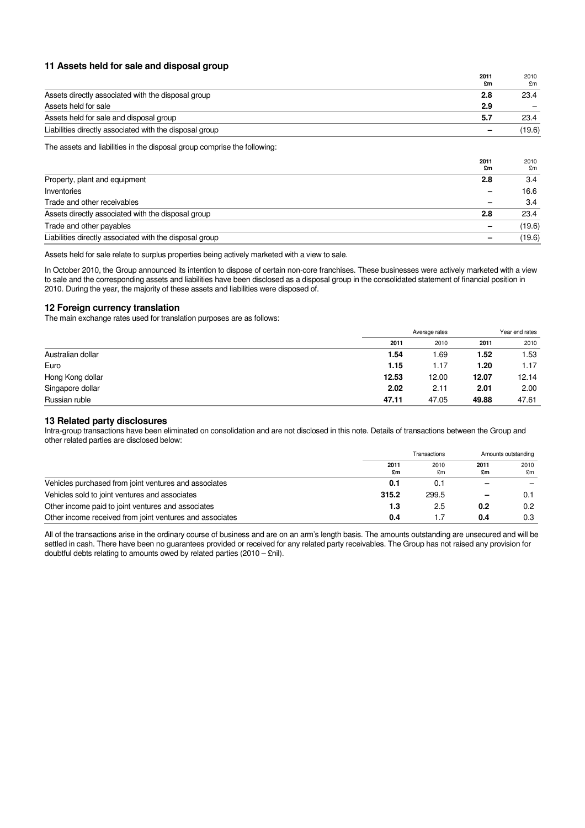## **11 Assets held for sale and disposal group**

|                                                         | 2011<br>£m | 2010<br>£m |
|---------------------------------------------------------|------------|------------|
| Assets directly associated with the disposal group      | 2.8        | 23.4       |
| Assets held for sale                                    | 2.9        |            |
| Assets held for sale and disposal group                 | 5.7        | 23.4       |
| Liabilities directly associated with the disposal group |            | (19.6)     |
|                                                         |            |            |

The assets and liabilities in the disposal group comprise the following:

|                                                         | 2011<br>£m | 2010<br>£m |
|---------------------------------------------------------|------------|------------|
| Property, plant and equipment                           | 2.8        | 3.4        |
| Inventories                                             |            | 16.6       |
| Trade and other receivables                             |            | 3.4        |
| Assets directly associated with the disposal group      | 2.8        | 23.4       |
| Trade and other payables                                |            | (19.6)     |
| Liabilities directly associated with the disposal group |            | (19.6)     |

Assets held for sale relate to surplus properties being actively marketed with a view to sale.

In October 2010, the Group announced its intention to dispose of certain non-core franchises. These businesses were actively marketed with a view to sale and the corresponding assets and liabilities have been disclosed as a disposal group in the consolidated statement of financial position in 2010. During the year, the majority of these assets and liabilities were disposed of.

## **12 Foreign currency translation**

The main exchange rates used for translation purposes are as follows:

|                   | Average rates |       |       | Year end rates |  |
|-------------------|---------------|-------|-------|----------------|--|
|                   | 2011          | 2010  | 2011  | 2010           |  |
| Australian dollar | 1.54          | 1.69  | 1.52  | 1.53           |  |
| Euro              | 1.15          | 1.17  | 1.20  | 1.17           |  |
| Hong Kong dollar  | 12.53         | 12.00 | 12.07 | 12.14          |  |
| Singapore dollar  | 2.02          | 2.11  | 2.01  | 2.00           |  |
| Russian ruble     | 47.11         | 47.05 | 49.88 | 47.61          |  |

## **13 Related party disclosures**

Intra-group transactions have been eliminated on consolidation and are not disclosed in this note. Details of transactions between the Group and other related parties are disclosed below:

|                                                          | Transactions |            | Amounts outstanding |            |
|----------------------------------------------------------|--------------|------------|---------------------|------------|
|                                                          | 2011<br>£m   | 2010<br>£m | 2011<br>£m          | 2010<br>£m |
| Vehicles purchased from joint ventures and associates    | 0.1          | 0.1        |                     |            |
| Vehicles sold to joint ventures and associates           | 315.2        | 299.5      |                     | 0.1        |
| Other income paid to joint ventures and associates       | 1.3          | 2.5        | 0.2                 | 0.2        |
| Other income received from joint ventures and associates | 0.4          | 1.7        | 0.4                 | 0.3        |

All of the transactions arise in the ordinary course of business and are on an arm's length basis. The amounts outstanding are unsecured and will be settled in cash. There have been no guarantees provided or received for any related party receivables. The Group has not raised any provision for doubtful debts relating to amounts owed by related parties (2010 – £nil).